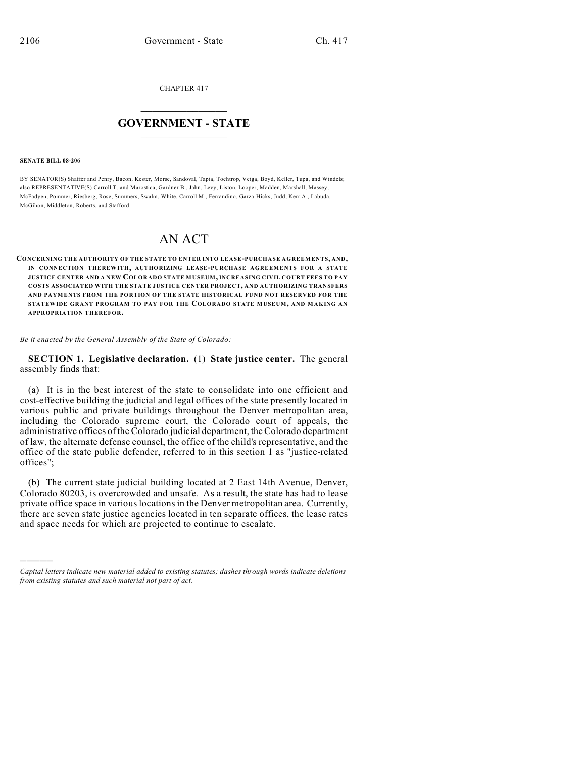CHAPTER 417

## $\overline{\phantom{a}}$  . The set of the set of the set of the set of the set of the set of the set of the set of the set of the set of the set of the set of the set of the set of the set of the set of the set of the set of the set o **GOVERNMENT - STATE**  $\_$

#### **SENATE BILL 08-206**

)))))

BY SENATOR(S) Shaffer and Penry, Bacon, Kester, Morse, Sandoval, Tapia, Tochtrop, Veiga, Boyd, Keller, Tupa, and Windels; also REPRESENTATIVE(S) Carroll T. and Marostica, Gardner B., Jahn, Levy, Liston, Looper, Madden, Marshall, Massey, McFadyen, Pommer, Riesberg, Rose, Summers, Swalm, White, Carroll M., Ferrandino, Garza-Hicks, Judd, Kerr A., Labuda, McGihon, Middleton, Roberts, and Stafford.

# AN ACT

**CONCERNING THE AUTHORITY OF THE STATE TO ENTER INTO LEASE-PURCHASE AGREEMENTS, AND, IN CONNECTION THEREWITH, AUTHORIZING LEASE-PURCHASE AGREEMENTS FOR A STATE JUSTICE CENTER AND A NEW COLORADO STATE MUSEUM, INCREASING CIVIL COURT FEES TO PAY COSTS ASSOCIATED WITH THE STATE JUSTICE CENTER PROJECT, AND AUTHORIZING TRANSFERS AND PAYMENTS FROM THE PORTION OF THE STATE HISTORICAL FUND NOT RESERVED FOR THE STATEWIDE GRANT PROGRAM TO PAY FOR THE COLORADO STATE MUSEUM, AND MAKING AN APPROPRIATION THEREFOR.**

*Be it enacted by the General Assembly of the State of Colorado:*

**SECTION 1. Legislative declaration.** (1) **State justice center.** The general assembly finds that:

(a) It is in the best interest of the state to consolidate into one efficient and cost-effective building the judicial and legal offices of the state presently located in various public and private buildings throughout the Denver metropolitan area, including the Colorado supreme court, the Colorado court of appeals, the administrative offices of the Colorado judicial department, the Colorado department of law, the alternate defense counsel, the office of the child's representative, and the office of the state public defender, referred to in this section 1 as "justice-related offices";

(b) The current state judicial building located at 2 East 14th Avenue, Denver, Colorado 80203, is overcrowded and unsafe. As a result, the state has had to lease private office space in various locations in the Denver metropolitan area. Currently, there are seven state justice agencies located in ten separate offices, the lease rates and space needs for which are projected to continue to escalate.

*Capital letters indicate new material added to existing statutes; dashes through words indicate deletions from existing statutes and such material not part of act.*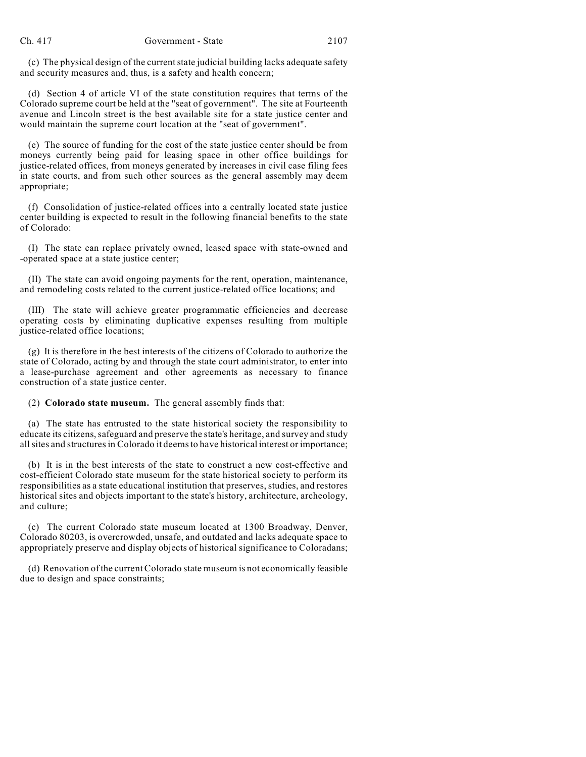(c) The physical design of the current state judicial building lacks adequate safety and security measures and, thus, is a safety and health concern;

(d) Section 4 of article VI of the state constitution requires that terms of the Colorado supreme court be held at the "seat of government". The site at Fourteenth avenue and Lincoln street is the best available site for a state justice center and would maintain the supreme court location at the "seat of government".

(e) The source of funding for the cost of the state justice center should be from moneys currently being paid for leasing space in other office buildings for justice-related offices, from moneys generated by increases in civil case filing fees in state courts, and from such other sources as the general assembly may deem appropriate;

(f) Consolidation of justice-related offices into a centrally located state justice center building is expected to result in the following financial benefits to the state of Colorado:

(I) The state can replace privately owned, leased space with state-owned and -operated space at a state justice center;

(II) The state can avoid ongoing payments for the rent, operation, maintenance, and remodeling costs related to the current justice-related office locations; and

(III) The state will achieve greater programmatic efficiencies and decrease operating costs by eliminating duplicative expenses resulting from multiple justice-related office locations;

(g) It is therefore in the best interests of the citizens of Colorado to authorize the state of Colorado, acting by and through the state court administrator, to enter into a lease-purchase agreement and other agreements as necessary to finance construction of a state justice center.

(2) **Colorado state museum.** The general assembly finds that:

(a) The state has entrusted to the state historical society the responsibility to educate its citizens, safeguard and preserve the state's heritage, and survey and study all sites and structures in Colorado it deemsto have historical interest or importance;

(b) It is in the best interests of the state to construct a new cost-effective and cost-efficient Colorado state museum for the state historical society to perform its responsibilities as a state educational institution that preserves, studies, and restores historical sites and objects important to the state's history, architecture, archeology, and culture;

(c) The current Colorado state museum located at 1300 Broadway, Denver, Colorado 80203, is overcrowded, unsafe, and outdated and lacks adequate space to appropriately preserve and display objects of historical significance to Coloradans;

(d) Renovation of the current Colorado state museum is not economically feasible due to design and space constraints;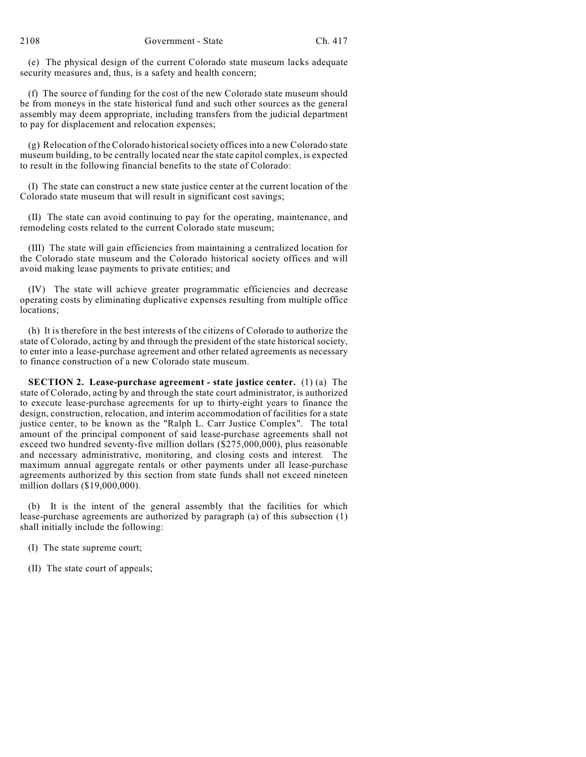(e) The physical design of the current Colorado state museum lacks adequate security measures and, thus, is a safety and health concern;

(f) The source of funding for the cost of the new Colorado state museum should be from moneys in the state historical fund and such other sources as the general assembly may deem appropriate, including transfers from the judicial department to pay for displacement and relocation expenses;

(g) Relocation of the Colorado historical society offices into a new Colorado state museum building, to be centrally located near the state capitol complex, is expected to result in the following financial benefits to the state of Colorado:

(I) The state can construct a new state justice center at the current location of the Colorado state museum that will result in significant cost savings;

(II) The state can avoid continuing to pay for the operating, maintenance, and remodeling costs related to the current Colorado state museum;

(III) The state will gain efficiencies from maintaining a centralized location for the Colorado state museum and the Colorado historical society offices and will avoid making lease payments to private entities; and

(IV) The state will achieve greater programmatic efficiencies and decrease operating costs by eliminating duplicative expenses resulting from multiple office locations;

(h) It is therefore in the best interests of the citizens of Colorado to authorize the state of Colorado, acting by and through the president of the state historical society, to enter into a lease-purchase agreement and other related agreements as necessary to finance construction of a new Colorado state museum.

**SECTION 2. Lease-purchase agreement - state justice center.** (1) (a) The state of Colorado, acting by and through the state court administrator, is authorized to execute lease-purchase agreements for up to thirty-eight years to finance the design, construction, relocation, and interim accommodation of facilities for a state justice center, to be known as the "Ralph L. Carr Justice Complex". The total amount of the principal component of said lease-purchase agreements shall not exceed two hundred seventy-five million dollars (\$275,000,000), plus reasonable and necessary administrative, monitoring, and closing costs and interest. The maximum annual aggregate rentals or other payments under all lease-purchase agreements authorized by this section from state funds shall not exceed nineteen million dollars (\$19,000,000).

(b) It is the intent of the general assembly that the facilities for which lease-purchase agreements are authorized by paragraph (a) of this subsection (1) shall initially include the following:

(I) The state supreme court;

(II) The state court of appeals;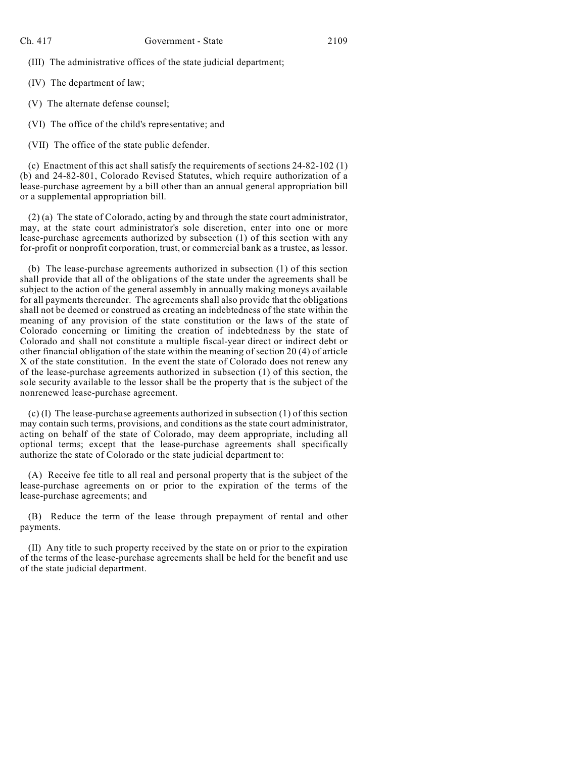(III) The administrative offices of the state judicial department;

(IV) The department of law;

(V) The alternate defense counsel;

(VI) The office of the child's representative; and

(VII) The office of the state public defender.

(c) Enactment of this act shall satisfy the requirements of sections 24-82-102 (1) (b) and 24-82-801, Colorado Revised Statutes, which require authorization of a lease-purchase agreement by a bill other than an annual general appropriation bill or a supplemental appropriation bill.

(2) (a) The state of Colorado, acting by and through the state court administrator, may, at the state court administrator's sole discretion, enter into one or more lease-purchase agreements authorized by subsection (1) of this section with any for-profit or nonprofit corporation, trust, or commercial bank as a trustee, as lessor.

(b) The lease-purchase agreements authorized in subsection (1) of this section shall provide that all of the obligations of the state under the agreements shall be subject to the action of the general assembly in annually making moneys available for all payments thereunder. The agreements shall also provide that the obligations shall not be deemed or construed as creating an indebtedness of the state within the meaning of any provision of the state constitution or the laws of the state of Colorado concerning or limiting the creation of indebtedness by the state of Colorado and shall not constitute a multiple fiscal-year direct or indirect debt or other financial obligation of the state within the meaning of section 20 (4) of article X of the state constitution. In the event the state of Colorado does not renew any of the lease-purchase agreements authorized in subsection (1) of this section, the sole security available to the lessor shall be the property that is the subject of the nonrenewed lease-purchase agreement.

(c) (I) The lease-purchase agreements authorized in subsection (1) of this section may contain such terms, provisions, and conditions as the state court administrator, acting on behalf of the state of Colorado, may deem appropriate, including all optional terms; except that the lease-purchase agreements shall specifically authorize the state of Colorado or the state judicial department to:

(A) Receive fee title to all real and personal property that is the subject of the lease-purchase agreements on or prior to the expiration of the terms of the lease-purchase agreements; and

(B) Reduce the term of the lease through prepayment of rental and other payments.

(II) Any title to such property received by the state on or prior to the expiration of the terms of the lease-purchase agreements shall be held for the benefit and use of the state judicial department.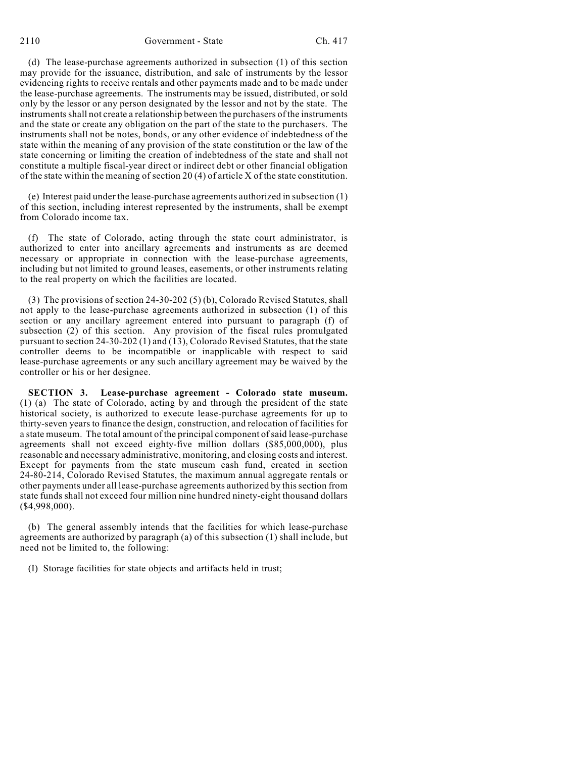(d) The lease-purchase agreements authorized in subsection (1) of this section may provide for the issuance, distribution, and sale of instruments by the lessor evidencing rights to receive rentals and other payments made and to be made under the lease-purchase agreements. The instruments may be issued, distributed, or sold only by the lessor or any person designated by the lessor and not by the state. The instruments shall not create a relationship between the purchasers of the instruments and the state or create any obligation on the part of the state to the purchasers. The instruments shall not be notes, bonds, or any other evidence of indebtedness of the state within the meaning of any provision of the state constitution or the law of the state concerning or limiting the creation of indebtedness of the state and shall not constitute a multiple fiscal-year direct or indirect debt or other financial obligation of the state within the meaning of section 20 (4) of article X of the state constitution.

(e) Interest paid under the lease-purchase agreements authorized in subsection (1) of this section, including interest represented by the instruments, shall be exempt from Colorado income tax.

(f) The state of Colorado, acting through the state court administrator, is authorized to enter into ancillary agreements and instruments as are deemed necessary or appropriate in connection with the lease-purchase agreements, including but not limited to ground leases, easements, or other instruments relating to the real property on which the facilities are located.

(3) The provisions of section 24-30-202 (5) (b), Colorado Revised Statutes, shall not apply to the lease-purchase agreements authorized in subsection (1) of this section or any ancillary agreement entered into pursuant to paragraph (f) of subsection (2) of this section. Any provision of the fiscal rules promulgated pursuant to section 24-30-202 (1) and  $(13)$ , Colorado Revised Statutes, that the state controller deems to be incompatible or inapplicable with respect to said lease-purchase agreements or any such ancillary agreement may be waived by the controller or his or her designee.

**SECTION 3. Lease-purchase agreement - Colorado state museum.** (1) (a) The state of Colorado, acting by and through the president of the state historical society, is authorized to execute lease-purchase agreements for up to thirty-seven years to finance the design, construction, and relocation of facilities for a state museum. The total amount of the principal component of said lease-purchase agreements shall not exceed eighty-five million dollars (\$85,000,000), plus reasonable and necessary administrative, monitoring, and closing costs and interest. Except for payments from the state museum cash fund, created in section 24-80-214, Colorado Revised Statutes, the maximum annual aggregate rentals or other payments under all lease-purchase agreements authorized by this section from state funds shall not exceed four million nine hundred ninety-eight thousand dollars (\$4,998,000).

(b) The general assembly intends that the facilities for which lease-purchase agreements are authorized by paragraph (a) of this subsection (1) shall include, but need not be limited to, the following:

(I) Storage facilities for state objects and artifacts held in trust;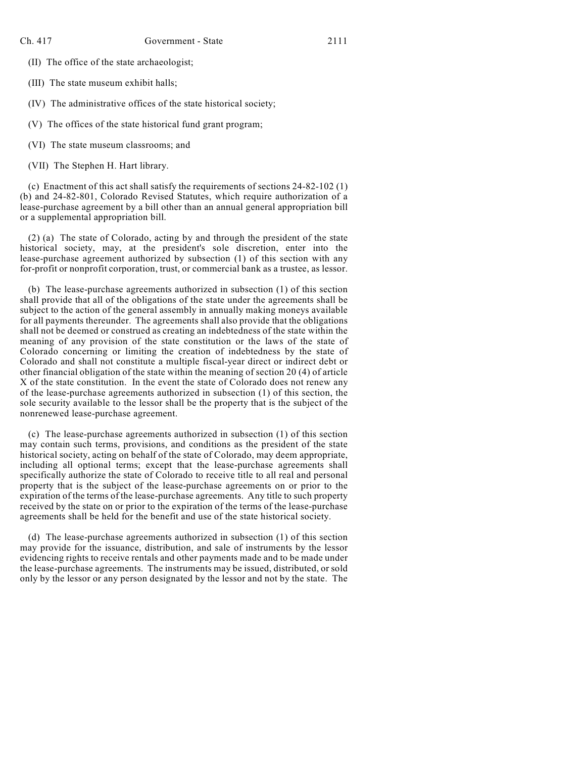- (II) The office of the state archaeologist;
- (III) The state museum exhibit halls;

(IV) The administrative offices of the state historical society;

- (V) The offices of the state historical fund grant program;
- (VI) The state museum classrooms; and
- (VII) The Stephen H. Hart library.

(c) Enactment of this act shall satisfy the requirements of sections 24-82-102 (1) (b) and 24-82-801, Colorado Revised Statutes, which require authorization of a lease-purchase agreement by a bill other than an annual general appropriation bill or a supplemental appropriation bill.

(2) (a) The state of Colorado, acting by and through the president of the state historical society, may, at the president's sole discretion, enter into the lease-purchase agreement authorized by subsection (1) of this section with any for-profit or nonprofit corporation, trust, or commercial bank as a trustee, as lessor.

(b) The lease-purchase agreements authorized in subsection (1) of this section shall provide that all of the obligations of the state under the agreements shall be subject to the action of the general assembly in annually making moneys available for all payments thereunder. The agreements shall also provide that the obligations shall not be deemed or construed as creating an indebtedness of the state within the meaning of any provision of the state constitution or the laws of the state of Colorado concerning or limiting the creation of indebtedness by the state of Colorado and shall not constitute a multiple fiscal-year direct or indirect debt or other financial obligation of the state within the meaning of section 20 (4) of article X of the state constitution. In the event the state of Colorado does not renew any of the lease-purchase agreements authorized in subsection (1) of this section, the sole security available to the lessor shall be the property that is the subject of the nonrenewed lease-purchase agreement.

(c) The lease-purchase agreements authorized in subsection (1) of this section may contain such terms, provisions, and conditions as the president of the state historical society, acting on behalf of the state of Colorado, may deem appropriate, including all optional terms; except that the lease-purchase agreements shall specifically authorize the state of Colorado to receive title to all real and personal property that is the subject of the lease-purchase agreements on or prior to the expiration of the terms of the lease-purchase agreements. Any title to such property received by the state on or prior to the expiration of the terms of the lease-purchase agreements shall be held for the benefit and use of the state historical society.

(d) The lease-purchase agreements authorized in subsection (1) of this section may provide for the issuance, distribution, and sale of instruments by the lessor evidencing rights to receive rentals and other payments made and to be made under the lease-purchase agreements. The instruments may be issued, distributed, or sold only by the lessor or any person designated by the lessor and not by the state. The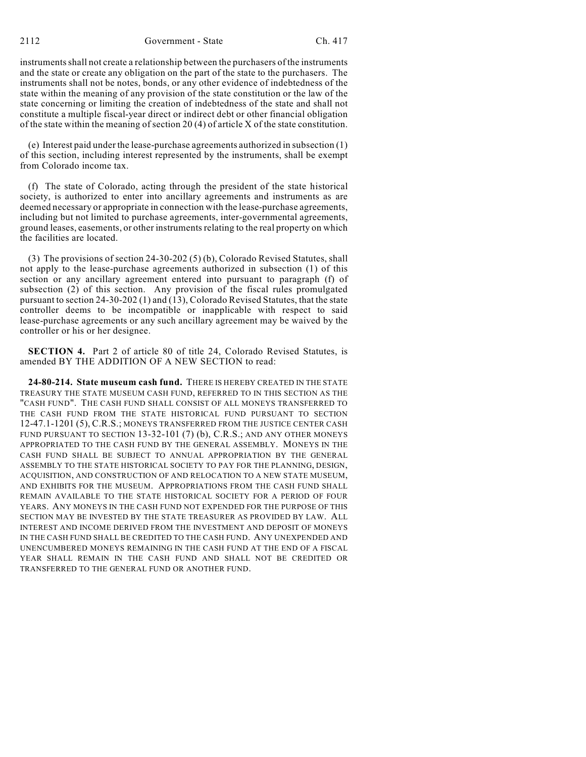instruments shall not create a relationship between the purchasers of the instruments and the state or create any obligation on the part of the state to the purchasers. The instruments shall not be notes, bonds, or any other evidence of indebtedness of the state within the meaning of any provision of the state constitution or the law of the state concerning or limiting the creation of indebtedness of the state and shall not constitute a multiple fiscal-year direct or indirect debt or other financial obligation of the state within the meaning of section 20 (4) of article X of the state constitution.

(e) Interest paid under the lease-purchase agreements authorized in subsection (1) of this section, including interest represented by the instruments, shall be exempt from Colorado income tax.

(f) The state of Colorado, acting through the president of the state historical society, is authorized to enter into ancillary agreements and instruments as are deemed necessary or appropriate in connection with the lease-purchase agreements, including but not limited to purchase agreements, inter-governmental agreements, ground leases, easements, or other instruments relating to the real property on which the facilities are located.

(3) The provisions of section 24-30-202 (5) (b), Colorado Revised Statutes, shall not apply to the lease-purchase agreements authorized in subsection (1) of this section or any ancillary agreement entered into pursuant to paragraph (f) of subsection (2) of this section. Any provision of the fiscal rules promulgated pursuant to section 24-30-202 (1) and (13), Colorado Revised Statutes, that the state controller deems to be incompatible or inapplicable with respect to said lease-purchase agreements or any such ancillary agreement may be waived by the controller or his or her designee.

**SECTION 4.** Part 2 of article 80 of title 24, Colorado Revised Statutes, is amended BY THE ADDITION OF A NEW SECTION to read:

**24-80-214. State museum cash fund.** THERE IS HEREBY CREATED IN THE STATE TREASURY THE STATE MUSEUM CASH FUND, REFERRED TO IN THIS SECTION AS THE "CASH FUND". THE CASH FUND SHALL CONSIST OF ALL MONEYS TRANSFERRED TO THE CASH FUND FROM THE STATE HISTORICAL FUND PURSUANT TO SECTION 12-47.1-1201 (5), C.R.S.; MONEYS TRANSFERRED FROM THE JUSTICE CENTER CASH FUND PURSUANT TO SECTION 13-32-101 (7) (b), C.R.S.; AND ANY OTHER MONEYS APPROPRIATED TO THE CASH FUND BY THE GENERAL ASSEMBLY. MONEYS IN THE CASH FUND SHALL BE SUBJECT TO ANNUAL APPROPRIATION BY THE GENERAL ASSEMBLY TO THE STATE HISTORICAL SOCIETY TO PAY FOR THE PLANNING, DESIGN, ACQUISITION, AND CONSTRUCTION OF AND RELOCATION TO A NEW STATE MUSEUM, AND EXHIBITS FOR THE MUSEUM. APPROPRIATIONS FROM THE CASH FUND SHALL REMAIN AVAILABLE TO THE STATE HISTORICAL SOCIETY FOR A PERIOD OF FOUR YEARS. ANY MONEYS IN THE CASH FUND NOT EXPENDED FOR THE PURPOSE OF THIS SECTION MAY BE INVESTED BY THE STATE TREASURER AS PROVIDED BY LAW. ALL INTEREST AND INCOME DERIVED FROM THE INVESTMENT AND DEPOSIT OF MONEYS IN THE CASH FUND SHALL BE CREDITED TO THE CASH FUND. ANY UNEXPENDED AND UNENCUMBERED MONEYS REMAINING IN THE CASH FUND AT THE END OF A FISCAL YEAR SHALL REMAIN IN THE CASH FUND AND SHALL NOT BE CREDITED OR TRANSFERRED TO THE GENERAL FUND OR ANOTHER FUND.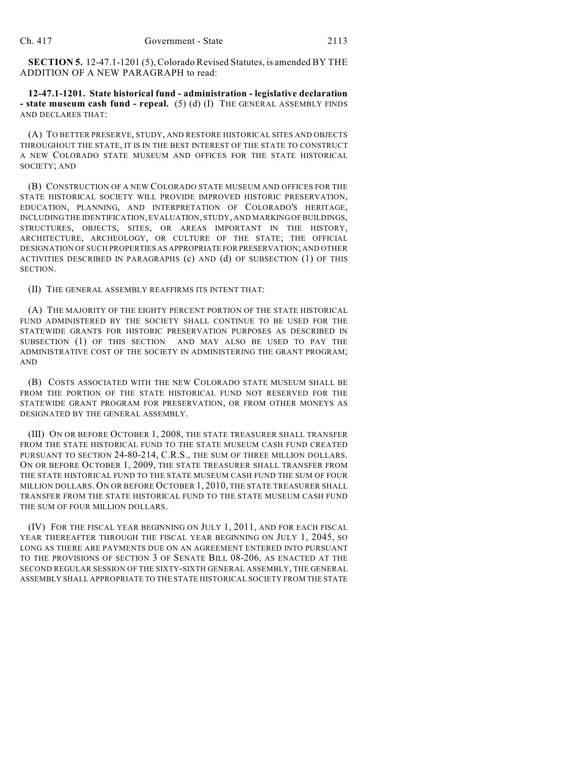**SECTION 5.** 12-47.1-1201 (5), Colorado Revised Statutes, is amended BY THE ADDITION OF A NEW PARAGRAPH to read:

**12-47.1-1201. State historical fund - administration - legislative declaration - state museum cash fund - repeal.** (5) (d) (I) THE GENERAL ASSEMBLY FINDS AND DECLARES THAT:

(A) TO BETTER PRESERVE, STUDY, AND RESTORE HISTORICAL SITES AND OBJECTS THROUGHOUT THE STATE, IT IS IN THE BEST INTEREST OF THE STATE TO CONSTRUCT A NEW COLORADO STATE MUSEUM AND OFFICES FOR THE STATE HISTORICAL SOCIETY; AND

(B) CONSTRUCTION OF A NEW COLORADO STATE MUSEUM AND OFFICES FOR THE STATE HISTORICAL SOCIETY WILL PROVIDE IMPROVED HISTORIC PRESERVATION, EDUCATION, PLANNING, AND INTERPRETATION OF COLORADO'S HERITAGE, INCLUDING THE IDENTIFICATION, EVALUATION, STUDY, AND MARKING OF BUILDINGS, STRUCTURES, OBJECTS, SITES, OR AREAS IMPORTANT IN THE HISTORY, ARCHITECTURE, ARCHEOLOGY, OR CULTURE OF THE STATE; THE OFFICIAL DESIGNATION OF SUCH PROPERTIES AS APPROPRIATE FOR PRESERVATION; AND OTHER ACTIVITIES DESCRIBED IN PARAGRAPHS (c) AND (d) OF SUBSECTION (1) OF THIS SECTION.

(II) THE GENERAL ASSEMBLY REAFFIRMS ITS INTENT THAT:

(A) THE MAJORITY OF THE EIGHTY PERCENT PORTION OF THE STATE HISTORICAL FUND ADMINISTERED BY THE SOCIETY SHALL CONTINUE TO BE USED FOR THE STATEWIDE GRANTS FOR HISTORIC PRESERVATION PURPOSES AS DESCRIBED IN SUBSECTION (1) OF THIS SECTION AND MAY ALSO BE USED TO PAY THE ADMINISTRATIVE COST OF THE SOCIETY IN ADMINISTERING THE GRANT PROGRAM; AND

(B) COSTS ASSOCIATED WITH THE NEW COLORADO STATE MUSEUM SHALL BE FROM THE PORTION OF THE STATE HISTORICAL FUND NOT RESERVED FOR THE STATEWIDE GRANT PROGRAM FOR PRESERVATION, OR FROM OTHER MONEYS AS DESIGNATED BY THE GENERAL ASSEMBLY.

(III) ON OR BEFORE OCTOBER 1, 2008, THE STATE TREASURER SHALL TRANSFER FROM THE STATE HISTORICAL FUND TO THE STATE MUSEUM CASH FUND CREATED PURSUANT TO SECTION 24-80-214, C.R.S., THE SUM OF THREE MILLION DOLLARS. ON OR BEFORE OCTOBER 1, 2009, THE STATE TREASURER SHALL TRANSFER FROM THE STATE HISTORICAL FUND TO THE STATE MUSEUM CASH FUND THE SUM OF FOUR MILLION DOLLARS. ON OR BEFORE OCTOBER 1, 2010, THE STATE TREASURER SHALL TRANSFER FROM THE STATE HISTORICAL FUND TO THE STATE MUSEUM CASH FUND THE SUM OF FOUR MILLION DOLLARS.

(IV) FOR THE FISCAL YEAR BEGINNING ON JULY 1, 2011, AND FOR EACH FISCAL YEAR THEREAFTER THROUGH THE FISCAL YEAR BEGINNING ON JULY 1, 2045, SO LONG AS THERE ARE PAYMENTS DUE ON AN AGREEMENT ENTERED INTO PURSUANT TO THE PROVISIONS OF SECTION 3 OF SENATE BILL 08-206, AS ENACTED AT THE SECOND REGULAR SESSION OF THE SIXTY-SIXTH GENERAL ASSEMBLY, THE GENERAL ASSEMBLY SHALL APPROPRIATE TO THE STATE HISTORICAL SOCIETY FROM THE STATE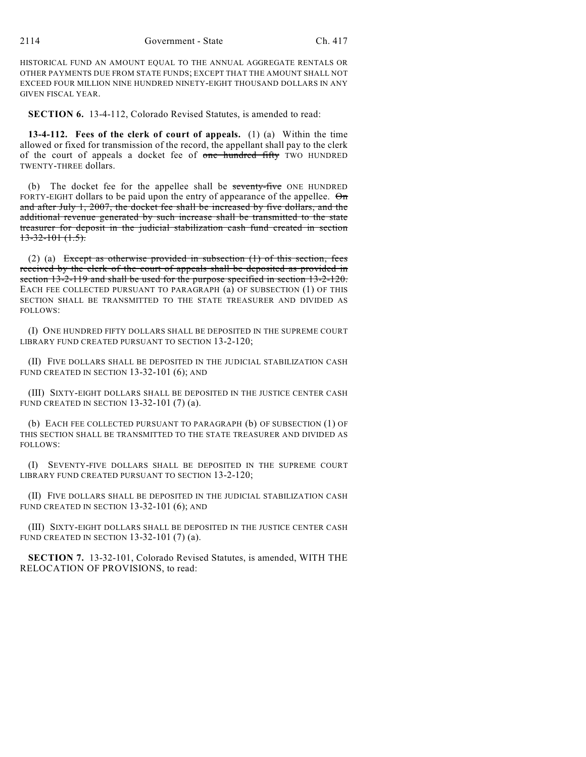HISTORICAL FUND AN AMOUNT EQUAL TO THE ANNUAL AGGREGATE RENTALS OR OTHER PAYMENTS DUE FROM STATE FUNDS; EXCEPT THAT THE AMOUNT SHALL NOT EXCEED FOUR MILLION NINE HUNDRED NINETY-EIGHT THOUSAND DOLLARS IN ANY GIVEN FISCAL YEAR.

**SECTION 6.** 13-4-112, Colorado Revised Statutes, is amended to read:

**13-4-112. Fees of the clerk of court of appeals.** (1) (a) Within the time allowed or fixed for transmission of the record, the appellant shall pay to the clerk of the court of appeals a docket fee of one hundred fifty TWO HUNDRED TWENTY-THREE dollars.

(b) The docket fee for the appellee shall be seventy-five ONE HUNDRED FORTY-EIGHT dollars to be paid upon the entry of appearance of the appellee.  $\Theta$ <sup>n</sup> and after July 1, 2007, the docket fee shall be increased by five dollars, and the additional revenue generated by such increase shall be transmitted to the state treasurer for deposit in the judicial stabilization cash fund created in section  $13-32-101(1.5)$ .

(2) (a) Except as otherwise provided in subsection (1) of this section, fees received by the clerk of the court of appeals shall be deposited as provided in section 13-2-119 and shall be used for the purpose specified in section 13-2-120. EACH FEE COLLECTED PURSUANT TO PARAGRAPH (a) OF SUBSECTION (1) OF THIS SECTION SHALL BE TRANSMITTED TO THE STATE TREASURER AND DIVIDED AS FOLLOWS:

(I) ONE HUNDRED FIFTY DOLLARS SHALL BE DEPOSITED IN THE SUPREME COURT LIBRARY FUND CREATED PURSUANT TO SECTION 13-2-120;

(II) FIVE DOLLARS SHALL BE DEPOSITED IN THE JUDICIAL STABILIZATION CASH FUND CREATED IN SECTION 13-32-101 (6); AND

(III) SIXTY-EIGHT DOLLARS SHALL BE DEPOSITED IN THE JUSTICE CENTER CASH FUND CREATED IN SECTION 13-32-101 (7) (a).

(b) EACH FEE COLLECTED PURSUANT TO PARAGRAPH (b) OF SUBSECTION (1) OF THIS SECTION SHALL BE TRANSMITTED TO THE STATE TREASURER AND DIVIDED AS FOLLOWS:

(I) SEVENTY-FIVE DOLLARS SHALL BE DEPOSITED IN THE SUPREME COURT LIBRARY FUND CREATED PURSUANT TO SECTION 13-2-120;

(II) FIVE DOLLARS SHALL BE DEPOSITED IN THE JUDICIAL STABILIZATION CASH FUND CREATED IN SECTION 13-32-101 (6); AND

(III) SIXTY-EIGHT DOLLARS SHALL BE DEPOSITED IN THE JUSTICE CENTER CASH FUND CREATED IN SECTION 13-32-101 (7) (a).

**SECTION 7.** 13-32-101, Colorado Revised Statutes, is amended, WITH THE RELOCATION OF PROVISIONS, to read: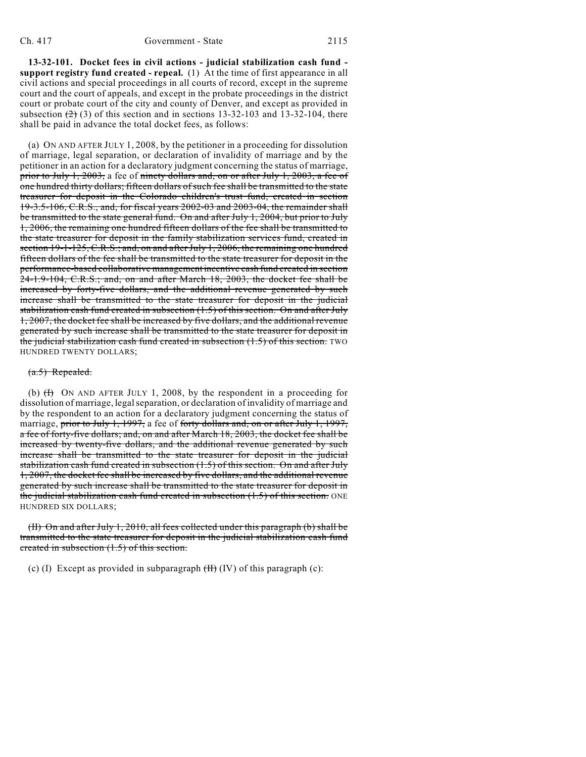**13-32-101. Docket fees in civil actions - judicial stabilization cash fund support registry fund created - repeal.** (1) At the time of first appearance in all civil actions and special proceedings in all courts of record, except in the supreme court and the court of appeals, and except in the probate proceedings in the district court or probate court of the city and county of Denver, and except as provided in subsection  $(2)$  (3) of this section and in sections 13-32-103 and 13-32-104, there shall be paid in advance the total docket fees, as follows:

(a) ON AND AFTER JULY 1, 2008, by the petitioner in a proceeding for dissolution of marriage, legal separation, or declaration of invalidity of marriage and by the petitioner in an action for a declaratory judgment concerning the status of marriage, prior to July 1, 2003, a fee of ninety dollars and, on or after July 1, 2003, a fee of one hundred thirty dollars; fifteen dollars of such fee shall be transmitted to the state treasurer for deposit in the Colorado children's trust fund, created in section 19-3.5-106, C.R.S., and, for fiscal years 2002-03 and 2003-04, the remainder shall be transmitted to the state general fund. On and after July 1, 2004, but prior to July 1, 2006, the remaining one hundred fifteen dollars of the fee shall be transmitted to the state treasurer for deposit in the family stabilization services fund, created in section 19-1-125, C.R.S.; and, on and after July 1, 2006, the remaining one hundred fifteen dollars of the fee shall be transmitted to the state treasurer for deposit in the performance-based collaborative management incentive cash fund created in section 24-1.9-104, C.R.S.; and, on and after March 18, 2003, the docket fee shall be increased by forty-five dollars, and the additional revenue generated by such increase shall be transmitted to the state treasurer for deposit in the judicial stabilization cash fund created in subsection (1.5) of this section. On and after July 1, 2007, the docket fee shall be increased by five dollars, and the additional revenue generated by such increase shall be transmitted to the state treasurer for deposit in the judicial stabilization cash fund created in subsection (1.5) of this section. TWO HUNDRED TWENTY DOLLARS;

#### (a.5) Repealed.

(b)  $(H)$  ON AND AFTER JULY 1, 2008, by the respondent in a proceeding for dissolution of marriage, legal separation, or declaration of invalidity of marriage and by the respondent to an action for a declaratory judgment concerning the status of marriage, prior to July 1, 1997, a fee of forty dollars and, on or after July 1, 1997, a fee of forty-five dollars; and, on and after March 18, 2003, the docket fee shall be increased by twenty-five dollars, and the additional revenue generated by such increase shall be transmitted to the state treasurer for deposit in the judicial stabilization cash fund created in subsection (1.5) of this section. On and after July 1, 2007, the docket fee shall be increased by five dollars, and the additional revenue generated by such increase shall be transmitted to the state treasurer for deposit in the judicial stabilization cash fund created in subsection (1.5) of this section. ONE HUNDRED SIX DOLLARS;

(II) On and after July 1, 2010, all fees collected under this paragraph (b) shall be transmitted to the state treasurer for deposit in the judicial stabilization cash fund created in subsection (1.5) of this section.

(c) (I) Except as provided in subparagraph  $(H)$  (IV) of this paragraph (c):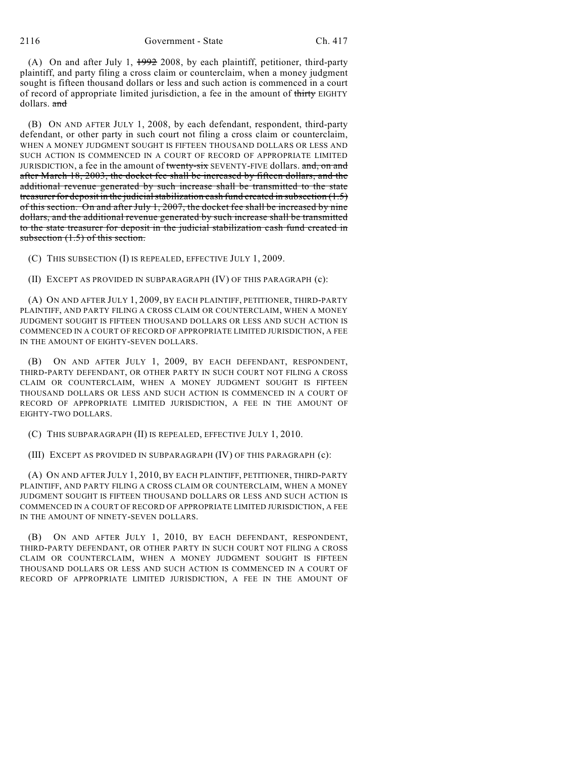(A) On and after July 1, 1992 2008, by each plaintiff, petitioner, third-party plaintiff, and party filing a cross claim or counterclaim, when a money judgment sought is fifteen thousand dollars or less and such action is commenced in a court of record of appropriate limited jurisdiction, a fee in the amount of thirty EIGHTY dollars. and

(B) ON AND AFTER JULY 1, 2008, by each defendant, respondent, third-party defendant, or other party in such court not filing a cross claim or counterclaim, WHEN A MONEY JUDGMENT SOUGHT IS FIFTEEN THOUSAND DOLLARS OR LESS AND SUCH ACTION IS COMMENCED IN A COURT OF RECORD OF APPROPRIATE LIMITED JURISDICTION, a fee in the amount of twenty-six SEVENTY-FIVE dollars. and, on and after March 18, 2003, the docket fee shall be increased by fifteen dollars, and the additional revenue generated by such increase shall be transmitted to the state treasurer for deposit in the judicial stabilization cash fund created in subsection  $(1.5)$ of this section. On and after July 1, 2007, the docket fee shall be increased by nine dollars, and the additional revenue generated by such increase shall be transmitted to the state treasurer for deposit in the judicial stabilization cash fund created in subsection  $(1.5)$  of this section.

(C) THIS SUBSECTION (I) IS REPEALED, EFFECTIVE JULY 1, 2009.

(II) EXCEPT AS PROVIDED IN SUBPARAGRAPH (IV) OF THIS PARAGRAPH (c):

(A) ON AND AFTER JULY 1, 2009, BY EACH PLAINTIFF, PETITIONER, THIRD-PARTY PLAINTIFF, AND PARTY FILING A CROSS CLAIM OR COUNTERCLAIM, WHEN A MONEY JUDGMENT SOUGHT IS FIFTEEN THOUSAND DOLLARS OR LESS AND SUCH ACTION IS COMMENCED IN A COURT OF RECORD OF APPROPRIATE LIMITED JURISDICTION, A FEE IN THE AMOUNT OF EIGHTY-SEVEN DOLLARS.

(B) ON AND AFTER JULY 1, 2009, BY EACH DEFENDANT, RESPONDENT, THIRD-PARTY DEFENDANT, OR OTHER PARTY IN SUCH COURT NOT FILING A CROSS CLAIM OR COUNTERCLAIM, WHEN A MONEY JUDGMENT SOUGHT IS FIFTEEN THOUSAND DOLLARS OR LESS AND SUCH ACTION IS COMMENCED IN A COURT OF RECORD OF APPROPRIATE LIMITED JURISDICTION, A FEE IN THE AMOUNT OF EIGHTY-TWO DOLLARS.

(C) THIS SUBPARAGRAPH (II) IS REPEALED, EFFECTIVE JULY 1, 2010.

(III) EXCEPT AS PROVIDED IN SUBPARAGRAPH (IV) OF THIS PARAGRAPH (c):

(A) ON AND AFTER JULY 1, 2010, BY EACH PLAINTIFF, PETITIONER, THIRD-PARTY PLAINTIFF, AND PARTY FILING A CROSS CLAIM OR COUNTERCLAIM, WHEN A MONEY JUDGMENT SOUGHT IS FIFTEEN THOUSAND DOLLARS OR LESS AND SUCH ACTION IS COMMENCED IN A COURT OF RECORD OF APPROPRIATE LIMITED JURISDICTION, A FEE IN THE AMOUNT OF NINETY-SEVEN DOLLARS.

(B) ON AND AFTER JULY 1, 2010, BY EACH DEFENDANT, RESPONDENT, THIRD-PARTY DEFENDANT, OR OTHER PARTY IN SUCH COURT NOT FILING A CROSS CLAIM OR COUNTERCLAIM, WHEN A MONEY JUDGMENT SOUGHT IS FIFTEEN THOUSAND DOLLARS OR LESS AND SUCH ACTION IS COMMENCED IN A COURT OF RECORD OF APPROPRIATE LIMITED JURISDICTION, A FEE IN THE AMOUNT OF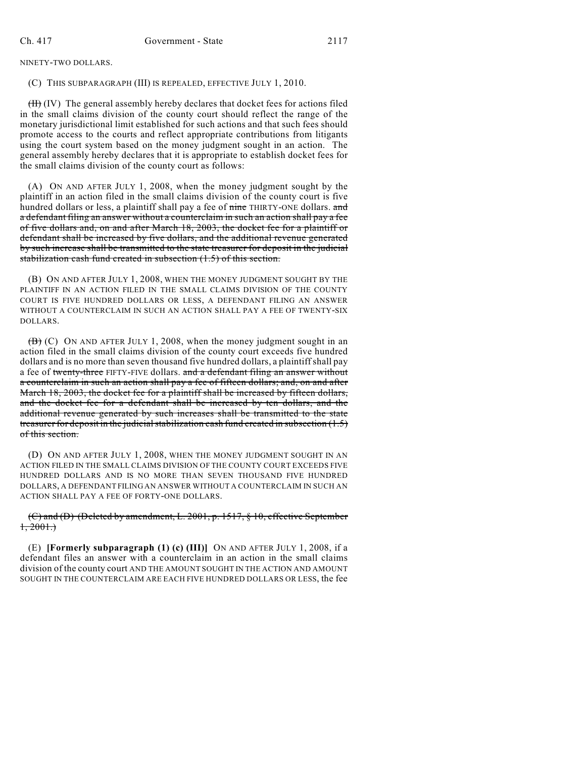NINETY-TWO DOLLARS.

#### (C) THIS SUBPARAGRAPH (III) IS REPEALED, EFFECTIVE JULY 1, 2010.

(II) (IV) The general assembly hereby declares that docket fees for actions filed in the small claims division of the county court should reflect the range of the monetary jurisdictional limit established for such actions and that such fees should promote access to the courts and reflect appropriate contributions from litigants using the court system based on the money judgment sought in an action. The general assembly hereby declares that it is appropriate to establish docket fees for the small claims division of the county court as follows:

(A) ON AND AFTER JULY 1, 2008, when the money judgment sought by the plaintiff in an action filed in the small claims division of the county court is five hundred dollars or less, a plaintiff shall pay a fee of nine THIRTY-ONE dollars. and a defendant filing an answer without a counterclaim in such an action shall pay a fee of five dollars and, on and after March 18, 2003, the docket fee for a plaintiff or defendant shall be increased by five dollars, and the additional revenue generated by such increase shall be transmitted to the state treasurer for deposit in the judicial stabilization cash fund created in subsection (1.5) of this section.

(B) ON AND AFTER JULY 1, 2008, WHEN THE MONEY JUDGMENT SOUGHT BY THE PLAINTIFF IN AN ACTION FILED IN THE SMALL CLAIMS DIVISION OF THE COUNTY COURT IS FIVE HUNDRED DOLLARS OR LESS, A DEFENDANT FILING AN ANSWER WITHOUT A COUNTERCLAIM IN SUCH AN ACTION SHALL PAY A FEE OF TWENTY-SIX DOLLARS.

 $\overline{(B)}$  (C) ON AND AFTER JULY 1, 2008, when the money judgment sought in an action filed in the small claims division of the county court exceeds five hundred dollars and is no more than seven thousand five hundred dollars, a plaintiffshall pay a fee of twenty-three FIFTY-FIVE dollars. and a defendant filing an answer without a counterclaim in such an action shall pay a fee of fifteen dollars; and, on and after March 18, 2003, the docket fee for a plaintiff shall be increased by fifteen dollars, and the docket fee for a defendant shall be increased by ten dollars, and the additional revenue generated by such increases shall be transmitted to the state treasurer for deposit in the judicial stabilization cash fund created in subsection  $(1.5)$ of this section.

(D) ON AND AFTER JULY 1, 2008, WHEN THE MONEY JUDGMENT SOUGHT IN AN ACTION FILED IN THE SMALL CLAIMS DIVISION OF THE COUNTY COURT EXCEEDS FIVE HUNDRED DOLLARS AND IS NO MORE THAN SEVEN THOUSAND FIVE HUNDRED DOLLARS, A DEFENDANT FILING AN ANSWER WITHOUT A COUNTERCLAIM IN SUCH AN ACTION SHALL PAY A FEE OF FORTY-ONE DOLLARS.

### (C) and (D) (Deleted by amendment, L. 2001, p. 1517, § 10, effective September  $1, 2001.$

(E) **[Formerly subparagraph (1) (c) (III)]** ON AND AFTER JULY 1, 2008, if a defendant files an answer with a counterclaim in an action in the small claims division of the county court AND THE AMOUNT SOUGHT IN THE ACTION AND AMOUNT SOUGHT IN THE COUNTERCLAIM ARE EACH FIVE HUNDRED DOLLARS OR LESS, the fee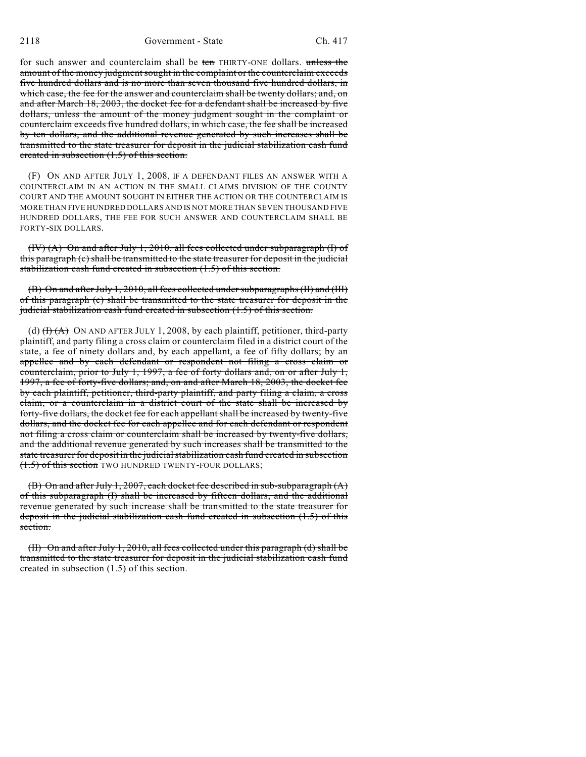for such answer and counterclaim shall be ten THIRTY-ONE dollars. unless the amount of the money judgment sought in the complaint or the counterclaim exceeds five hundred dollars and is no more than seven thousand five hundred dollars, in which case, the fee for the answer and counterclaim shall be twenty dollars; and, on and after March 18, 2003, the docket fee for a defendant shall be increased by five dollars, unless the amount of the money judgment sought in the complaint or counterclaim exceeds five hundred dollars, in which case, the fee shall be increased by ten dollars, and the additional revenue generated by such increases shall be transmitted to the state treasurer for deposit in the judicial stabilization cash fund created in subsection (1.5) of this section.

(F) ON AND AFTER JULY 1, 2008, IF A DEFENDANT FILES AN ANSWER WITH A COUNTERCLAIM IN AN ACTION IN THE SMALL CLAIMS DIVISION OF THE COUNTY COURT AND THE AMOUNT SOUGHT IN EITHER THE ACTION OR THE COUNTERCLAIM IS MORE THAN FIVE HUNDRED DOLLARS AND IS NOT MORE THAN SEVEN THOUSAND FIVE HUNDRED DOLLARS, THE FEE FOR SUCH ANSWER AND COUNTERCLAIM SHALL BE FORTY-SIX DOLLARS.

(IV) (A) On and after July 1, 2010, all fees collected under subparagraph (I) of this paragraph (c) shall be transmitted to the state treasurer for deposit in the judicial stabilization cash fund created in subsection (1.5) of this section.

(B) On and after July 1, 2010, all fees collected under subparagraphs (II) and (III) of this paragraph (c) shall be transmitted to the state treasurer for deposit in the judicial stabilization cash fund created in subsection (1.5) of this section.

(d)  $(H)(A)$  ON AND AFTER JULY 1, 2008, by each plaintiff, petitioner, third-party plaintiff, and party filing a cross claim or counterclaim filed in a district court of the state, a fee of ninety dollars and, by each appellant, a fee of fifty dollars; by an appellee and by each defendant or respondent not filing a cross claim or counterclaim, prior to July 1, 1997, a fee of forty dollars and, on or after July 1, 1997, a fee of forty-five dollars; and, on and after March 18, 2003, the docket fee by each plaintiff, petitioner, third-party plaintiff, and party filing a claim, a cross claim, or a counterclaim in a district court of the state shall be increased by forty-five dollars, the docket fee for each appellant shall be increased by twenty-five dollars, and the docket fee for each appellee and for each defendant or respondent not filing a cross claim or counterclaim shall be increased by twenty-five dollars, and the additional revenue generated by such increases shall be transmitted to the state treasurer for deposit in the judicial stabilization cash fund created in subsection (1.5) of this section TWO HUNDRED TWENTY-FOUR DOLLARS;

(B) On and after July 1, 2007, each docket fee described in sub-subparagraph  $(A)$ of this subparagraph (I) shall be increased by fifteen dollars, and the additional revenue generated by such increase shall be transmitted to the state treasurer for deposit in the judicial stabilization cash fund created in subsection (1.5) of this section.

(II) On and after July 1, 2010, all fees collected under this paragraph (d) shall be transmitted to the state treasurer for deposit in the judicial stabilization cash fund created in subsection (1.5) of this section.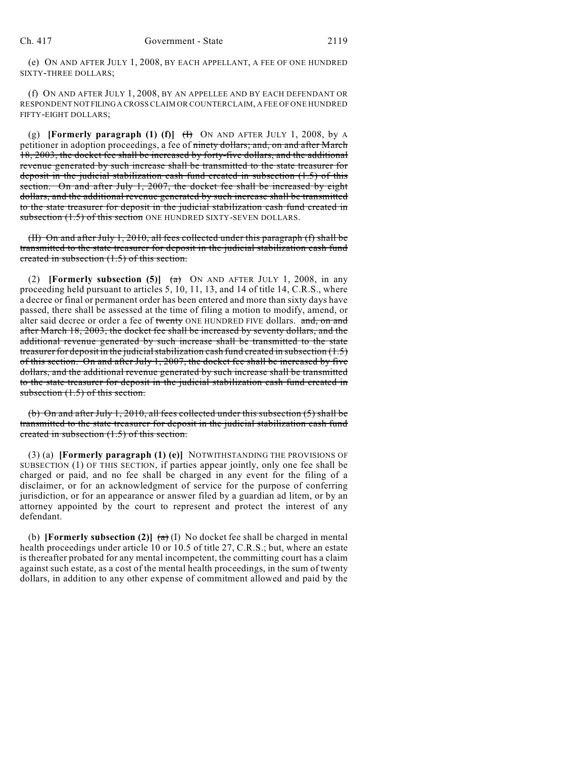(e) ON AND AFTER JULY 1, 2008, BY EACH APPELLANT, A FEE OF ONE HUNDRED SIXTY-THREE DOLLARS;

(f) ON AND AFTER JULY 1, 2008, BY AN APPELLEE AND BY EACH DEFENDANT OR RESPONDENT NOT FILING A CROSS CLAIM OR COUNTERCLAIM, A FEE OF ONE HUNDRED FIFTY-EIGHT DOLLARS;

(g) **[Formerly paragraph (1) (f)**  $(H)$  ON AND AFTER JULY 1, 2008, by A petitioner in adoption proceedings, a fee of ninety dollars; and, on and after March 18, 2003, the docket fee shall be increased by forty-five dollars, and the additional revenue generated by such increase shall be transmitted to the state treasurer for deposit in the judicial stabilization cash fund created in subsection (1.5) of this section. On and after July 1, 2007, the docket fee shall be increased by eight dollars, and the additional revenue generated by such increase shall be transmitted to the state treasurer for deposit in the judicial stabilization cash fund created in subsection  $(1.5)$  of this section ONE HUNDRED SIXTY-SEVEN DOLLARS.

(II) On and after July 1, 2010, all fees collected under this paragraph (f) shall be transmitted to the state treasurer for deposit in the judicial stabilization cash fund created in subsection (1.5) of this section.

(2) **[Formerly subsection (5)]**  $(a)$  ON AND AFTER JULY 1, 2008, in any proceeding held pursuant to articles 5, 10, 11, 13, and 14 of title 14, C.R.S., where a decree or final or permanent order has been entered and more than sixty days have passed, there shall be assessed at the time of filing a motion to modify, amend, or alter said decree or order a fee of twenty ONE HUNDRED FIVE dollars. and, on and after March 18, 2003, the docket fee shall be increased by seventy dollars, and the additional revenue generated by such increase shall be transmitted to the state treasurer for deposit in the judicial stabilization cash fund created in subsection (1.5) of this section. On and after July 1, 2007, the docket fee shall be increased by five dollars, and the additional revenue generated by such increase shall be transmitted to the state treasurer for deposit in the judicial stabilization cash fund created in subsection  $(1.5)$  of this section.

(b) On and after July 1, 2010, all fees collected under this subsection (5) shall be transmitted to the state treasurer for deposit in the judicial stabilization cash fund created in subsection  $(1.5)$  of this section.

(3) (a) **[Formerly paragraph (1) (e)]** NOTWITHSTANDING THE PROVISIONS OF SUBSECTION (1) OF THIS SECTION, if parties appear jointly, only one fee shall be charged or paid, and no fee shall be charged in any event for the filing of a disclaimer, or for an acknowledgment of service for the purpose of conferring jurisdiction, or for an appearance or answer filed by a guardian ad litem, or by an attorney appointed by the court to represent and protect the interest of any defendant.

(b) **[Formerly subsection (2)]**  $\left(\frac{a}{b}\right)$  No docket fee shall be charged in mental health proceedings under article 10 or 10.5 of title 27, C.R.S.; but, where an estate is thereafter probated for any mental incompetent, the committing court has a claim against such estate, as a cost of the mental health proceedings, in the sum of twenty dollars, in addition to any other expense of commitment allowed and paid by the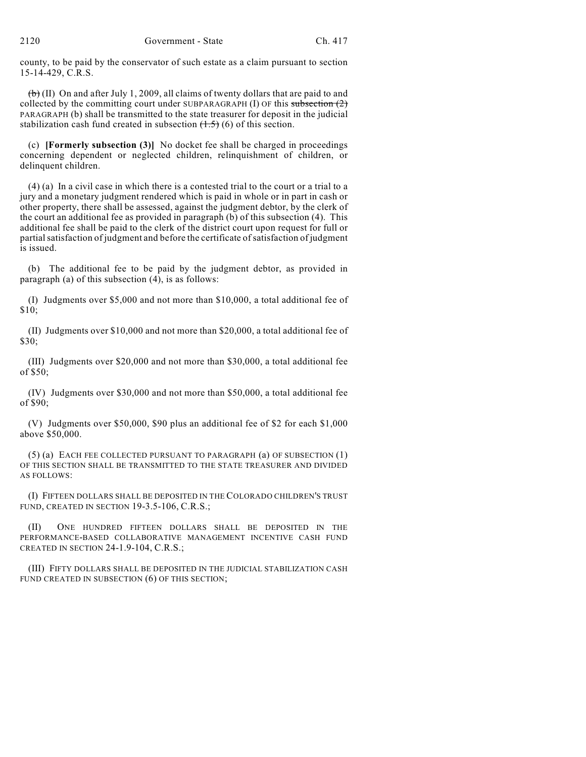county, to be paid by the conservator of such estate as a claim pursuant to section 15-14-429, C.R.S.

 $\left(\frac{b}{b}\right)$  (II) On and after July 1, 2009, all claims of twenty dollars that are paid to and collected by the committing court under SUBPARAGRAPH  $(I)$  OF this subsection  $(2)$ PARAGRAPH (b) shall be transmitted to the state treasurer for deposit in the judicial stabilization cash fund created in subsection  $(1.5)$  (6) of this section.

(c) **[Formerly subsection (3)]** No docket fee shall be charged in proceedings concerning dependent or neglected children, relinquishment of children, or delinquent children.

(4) (a) In a civil case in which there is a contested trial to the court or a trial to a jury and a monetary judgment rendered which is paid in whole or in part in cash or other property, there shall be assessed, against the judgment debtor, by the clerk of the court an additional fee as provided in paragraph (b) of this subsection (4). This additional fee shall be paid to the clerk of the district court upon request for full or partial satisfaction of judgment and before the certificate of satisfaction of judgment is issued.

(b) The additional fee to be paid by the judgment debtor, as provided in paragraph (a) of this subsection  $(4)$ , is as follows:

(I) Judgments over \$5,000 and not more than \$10,000, a total additional fee of \$10;

(II) Judgments over \$10,000 and not more than \$20,000, a total additional fee of \$30;

(III) Judgments over \$20,000 and not more than \$30,000, a total additional fee of \$50;

(IV) Judgments over \$30,000 and not more than \$50,000, a total additional fee of \$90;

(V) Judgments over \$50,000, \$90 plus an additional fee of \$2 for each \$1,000 above \$50,000.

(5) (a) EACH FEE COLLECTED PURSUANT TO PARAGRAPH (a) OF SUBSECTION (1) OF THIS SECTION SHALL BE TRANSMITTED TO THE STATE TREASURER AND DIVIDED AS FOLLOWS:

(I) FIFTEEN DOLLARS SHALL BE DEPOSITED IN THE COLORADO CHILDREN'S TRUST FUND, CREATED IN SECTION 19-3.5-106, C.R.S.;

(II) ONE HUNDRED FIFTEEN DOLLARS SHALL BE DEPOSITED IN THE PERFORMANCE-BASED COLLABORATIVE MANAGEMENT INCENTIVE CASH FUND CREATED IN SECTION 24-1.9-104, C.R.S.;

(III) FIFTY DOLLARS SHALL BE DEPOSITED IN THE JUDICIAL STABILIZATION CASH FUND CREATED IN SUBSECTION (6) OF THIS SECTION;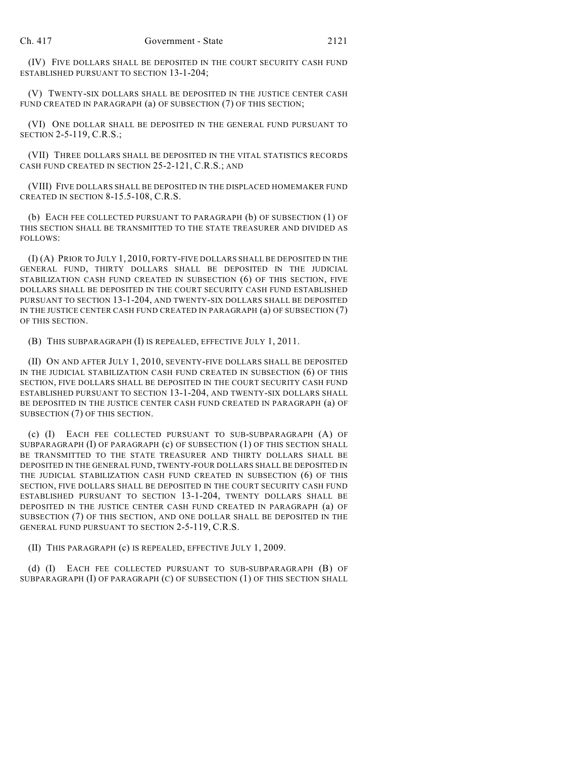(IV) FIVE DOLLARS SHALL BE DEPOSITED IN THE COURT SECURITY CASH FUND ESTABLISHED PURSUANT TO SECTION 13-1-204;

(V) TWENTY-SIX DOLLARS SHALL BE DEPOSITED IN THE JUSTICE CENTER CASH FUND CREATED IN PARAGRAPH (a) OF SUBSECTION (7) OF THIS SECTION;

(VI) ONE DOLLAR SHALL BE DEPOSITED IN THE GENERAL FUND PURSUANT TO SECTION 2-5-119, C.R.S.;

(VII) THREE DOLLARS SHALL BE DEPOSITED IN THE VITAL STATISTICS RECORDS CASH FUND CREATED IN SECTION 25-2-121, C.R.S.; AND

(VIII) FIVE DOLLARS SHALL BE DEPOSITED IN THE DISPLACED HOMEMAKER FUND CREATED IN SECTION 8-15.5-108, C.R.S.

(b) EACH FEE COLLECTED PURSUANT TO PARAGRAPH (b) OF SUBSECTION (1) OF THIS SECTION SHALL BE TRANSMITTED TO THE STATE TREASURER AND DIVIDED AS FOLLOWS:

(I) (A) PRIOR TO JULY 1, 2010, FORTY-FIVE DOLLARS SHALL BE DEPOSITED IN THE GENERAL FUND, THIRTY DOLLARS SHALL BE DEPOSITED IN THE JUDICIAL STABILIZATION CASH FUND CREATED IN SUBSECTION (6) OF THIS SECTION, FIVE DOLLARS SHALL BE DEPOSITED IN THE COURT SECURITY CASH FUND ESTABLISHED PURSUANT TO SECTION 13-1-204, AND TWENTY-SIX DOLLARS SHALL BE DEPOSITED IN THE JUSTICE CENTER CASH FUND CREATED IN PARAGRAPH (a) OF SUBSECTION (7) OF THIS SECTION.

(B) THIS SUBPARAGRAPH (I) IS REPEALED, EFFECTIVE JULY 1, 2011.

(II) ON AND AFTER JULY 1, 2010, SEVENTY-FIVE DOLLARS SHALL BE DEPOSITED IN THE JUDICIAL STABILIZATION CASH FUND CREATED IN SUBSECTION (6) OF THIS SECTION, FIVE DOLLARS SHALL BE DEPOSITED IN THE COURT SECURITY CASH FUND ESTABLISHED PURSUANT TO SECTION 13-1-204, AND TWENTY-SIX DOLLARS SHALL BE DEPOSITED IN THE JUSTICE CENTER CASH FUND CREATED IN PARAGRAPH (a) OF SUBSECTION (7) OF THIS SECTION.

(c) (I) EACH FEE COLLECTED PURSUANT TO SUB-SUBPARAGRAPH (A) OF SUBPARAGRAPH (I) OF PARAGRAPH (c) OF SUBSECTION (1) OF THIS SECTION SHALL BE TRANSMITTED TO THE STATE TREASURER AND THIRTY DOLLARS SHALL BE DEPOSITED IN THE GENERAL FUND, TWENTY-FOUR DOLLARS SHALL BE DEPOSITED IN THE JUDICIAL STABILIZATION CASH FUND CREATED IN SUBSECTION (6) OF THIS SECTION, FIVE DOLLARS SHALL BE DEPOSITED IN THE COURT SECURITY CASH FUND ESTABLISHED PURSUANT TO SECTION 13-1-204, TWENTY DOLLARS SHALL BE DEPOSITED IN THE JUSTICE CENTER CASH FUND CREATED IN PARAGRAPH (a) OF SUBSECTION (7) OF THIS SECTION, AND ONE DOLLAR SHALL BE DEPOSITED IN THE GENERAL FUND PURSUANT TO SECTION 2-5-119, C.R.S.

(II) THIS PARAGRAPH (c) IS REPEALED, EFFECTIVE JULY 1, 2009.

(d) (I) EACH FEE COLLECTED PURSUANT TO SUB-SUBPARAGRAPH (B) OF SUBPARAGRAPH (I) OF PARAGRAPH (C) OF SUBSECTION (1) OF THIS SECTION SHALL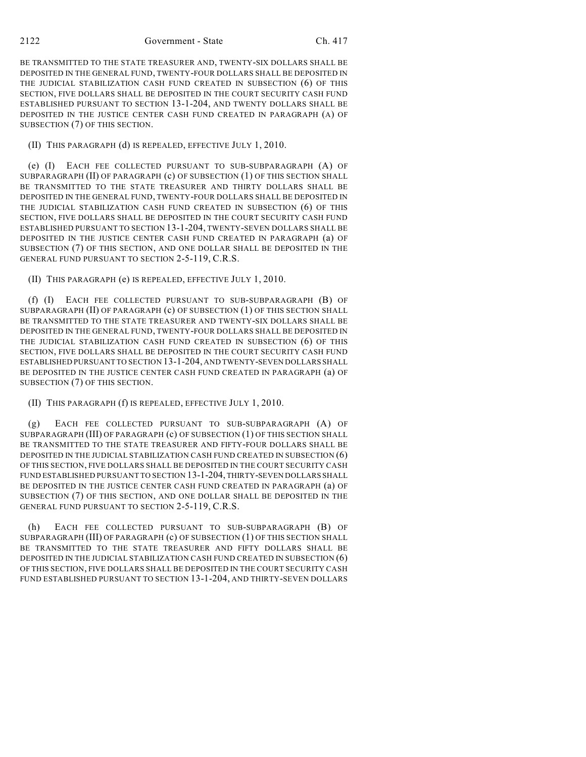BE TRANSMITTED TO THE STATE TREASURER AND, TWENTY-SIX DOLLARS SHALL BE DEPOSITED IN THE GENERAL FUND, TWENTY-FOUR DOLLARS SHALL BE DEPOSITED IN THE JUDICIAL STABILIZATION CASH FUND CREATED IN SUBSECTION (6) OF THIS SECTION, FIVE DOLLARS SHALL BE DEPOSITED IN THE COURT SECURITY CASH FUND ESTABLISHED PURSUANT TO SECTION 13-1-204, AND TWENTY DOLLARS SHALL BE DEPOSITED IN THE JUSTICE CENTER CASH FUND CREATED IN PARAGRAPH (A) OF SUBSECTION (7) OF THIS SECTION.

(II) THIS PARAGRAPH (d) IS REPEALED, EFFECTIVE JULY 1, 2010.

(e) (I) EACH FEE COLLECTED PURSUANT TO SUB-SUBPARAGRAPH (A) OF SUBPARAGRAPH (II) OF PARAGRAPH (c) OF SUBSECTION (1) OF THIS SECTION SHALL BE TRANSMITTED TO THE STATE TREASURER AND THIRTY DOLLARS SHALL BE DEPOSITED IN THE GENERAL FUND, TWENTY-FOUR DOLLARS SHALL BE DEPOSITED IN THE JUDICIAL STABILIZATION CASH FUND CREATED IN SUBSECTION (6) OF THIS SECTION, FIVE DOLLARS SHALL BE DEPOSITED IN THE COURT SECURITY CASH FUND ESTABLISHED PURSUANT TO SECTION 13-1-204, TWENTY-SEVEN DOLLARS SHALL BE DEPOSITED IN THE JUSTICE CENTER CASH FUND CREATED IN PARAGRAPH (a) OF SUBSECTION (7) OF THIS SECTION, AND ONE DOLLAR SHALL BE DEPOSITED IN THE GENERAL FUND PURSUANT TO SECTION 2-5-119, C.R.S.

(II) THIS PARAGRAPH (e) IS REPEALED, EFFECTIVE JULY 1, 2010.

(f) (I) EACH FEE COLLECTED PURSUANT TO SUB-SUBPARAGRAPH (B) OF SUBPARAGRAPH (II) OF PARAGRAPH (c) OF SUBSECTION (1) OF THIS SECTION SHALL BE TRANSMITTED TO THE STATE TREASURER AND TWENTY-SIX DOLLARS SHALL BE DEPOSITED IN THE GENERAL FUND, TWENTY-FOUR DOLLARS SHALL BE DEPOSITED IN THE JUDICIAL STABILIZATION CASH FUND CREATED IN SUBSECTION (6) OF THIS SECTION, FIVE DOLLARS SHALL BE DEPOSITED IN THE COURT SECURITY CASH FUND ESTABLISHED PURSUANT TO SECTION 13-1-204, AND TWENTY-SEVEN DOLLARS SHALL BE DEPOSITED IN THE JUSTICE CENTER CASH FUND CREATED IN PARAGRAPH (a) OF SUBSECTION (7) OF THIS SECTION.

(II) THIS PARAGRAPH (f) IS REPEALED, EFFECTIVE JULY 1, 2010.

(g) EACH FEE COLLECTED PURSUANT TO SUB-SUBPARAGRAPH (A) OF SUBPARAGRAPH (III) OF PARAGRAPH (c) OF SUBSECTION (1) OF THIS SECTION SHALL BE TRANSMITTED TO THE STATE TREASURER AND FIFTY-FOUR DOLLARS SHALL BE DEPOSITED IN THE JUDICIAL STABILIZATION CASH FUND CREATED IN SUBSECTION (6) OF THIS SECTION, FIVE DOLLARS SHALL BE DEPOSITED IN THE COURT SECURITY CASH FUND ESTABLISHED PURSUANT TO SECTION 13-1-204, THIRTY-SEVEN DOLLARS SHALL BE DEPOSITED IN THE JUSTICE CENTER CASH FUND CREATED IN PARAGRAPH (a) OF SUBSECTION (7) OF THIS SECTION, AND ONE DOLLAR SHALL BE DEPOSITED IN THE GENERAL FUND PURSUANT TO SECTION 2-5-119, C.R.S.

(h) EACH FEE COLLECTED PURSUANT TO SUB-SUBPARAGRAPH (B) OF SUBPARAGRAPH (III) OF PARAGRAPH (c) OF SUBSECTION (1) OF THIS SECTION SHALL BE TRANSMITTED TO THE STATE TREASURER AND FIFTY DOLLARS SHALL BE DEPOSITED IN THE JUDICIAL STABILIZATION CASH FUND CREATED IN SUBSECTION (6) OF THIS SECTION, FIVE DOLLARS SHALL BE DEPOSITED IN THE COURT SECURITY CASH FUND ESTABLISHED PURSUANT TO SECTION 13-1-204, AND THIRTY-SEVEN DOLLARS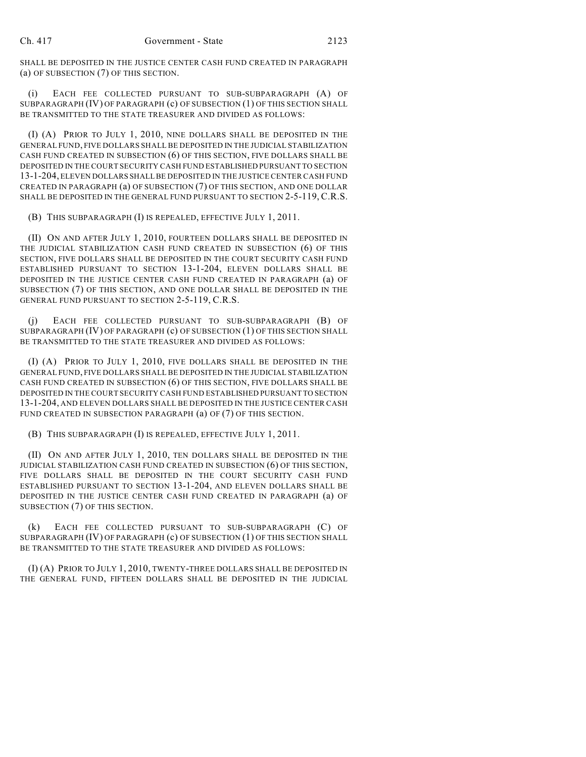SHALL BE DEPOSITED IN THE JUSTICE CENTER CASH FUND CREATED IN PARAGRAPH (a) OF SUBSECTION (7) OF THIS SECTION.

(i) EACH FEE COLLECTED PURSUANT TO SUB-SUBPARAGRAPH (A) OF SUBPARAGRAPH (IV) OF PARAGRAPH (c) OF SUBSECTION (1) OF THIS SECTION SHALL BE TRANSMITTED TO THE STATE TREASURER AND DIVIDED AS FOLLOWS:

(I) (A) PRIOR TO JULY 1, 2010, NINE DOLLARS SHALL BE DEPOSITED IN THE GENERAL FUND, FIVE DOLLARS SHALL BE DEPOSITED IN THE JUDICIAL STABILIZATION CASH FUND CREATED IN SUBSECTION (6) OF THIS SECTION, FIVE DOLLARS SHALL BE DEPOSITED IN THE COURT SECURITY CASH FUND ESTABLISHED PURSUANT TO SECTION 13-1-204, ELEVEN DOLLARS SHALL BE DEPOSITED IN THE JUSTICE CENTER CASH FUND CREATED IN PARAGRAPH (a) OF SUBSECTION (7) OF THIS SECTION, AND ONE DOLLAR SHALL BE DEPOSITED IN THE GENERAL FUND PURSUANT TO SECTION 2-5-119, C.R.S.

(B) THIS SUBPARAGRAPH (I) IS REPEALED, EFFECTIVE JULY 1, 2011.

(II) ON AND AFTER JULY 1, 2010, FOURTEEN DOLLARS SHALL BE DEPOSITED IN THE JUDICIAL STABILIZATION CASH FUND CREATED IN SUBSECTION (6) OF THIS SECTION, FIVE DOLLARS SHALL BE DEPOSITED IN THE COURT SECURITY CASH FUND ESTABLISHED PURSUANT TO SECTION 13-1-204, ELEVEN DOLLARS SHALL BE DEPOSITED IN THE JUSTICE CENTER CASH FUND CREATED IN PARAGRAPH (a) OF SUBSECTION (7) OF THIS SECTION, AND ONE DOLLAR SHALL BE DEPOSITED IN THE GENERAL FUND PURSUANT TO SECTION 2-5-119, C.R.S.

(j) EACH FEE COLLECTED PURSUANT TO SUB-SUBPARAGRAPH (B) OF SUBPARAGRAPH (IV) OF PARAGRAPH (c) OF SUBSECTION (1) OF THIS SECTION SHALL BE TRANSMITTED TO THE STATE TREASURER AND DIVIDED AS FOLLOWS:

(I) (A) PRIOR TO JULY 1, 2010, FIVE DOLLARS SHALL BE DEPOSITED IN THE GENERAL FUND, FIVE DOLLARS SHALL BE DEPOSITED IN THE JUDICIAL STABILIZATION CASH FUND CREATED IN SUBSECTION (6) OF THIS SECTION, FIVE DOLLARS SHALL BE DEPOSITED IN THE COURT SECURITY CASH FUND ESTABLISHED PURSUANT TO SECTION 13-1-204, AND ELEVEN DOLLARS SHALL BE DEPOSITED IN THE JUSTICE CENTER CASH FUND CREATED IN SUBSECTION PARAGRAPH (a) OF (7) OF THIS SECTION.

(B) THIS SUBPARAGRAPH (I) IS REPEALED, EFFECTIVE JULY 1, 2011.

(II) ON AND AFTER JULY 1, 2010, TEN DOLLARS SHALL BE DEPOSITED IN THE JUDICIAL STABILIZATION CASH FUND CREATED IN SUBSECTION (6) OF THIS SECTION, FIVE DOLLARS SHALL BE DEPOSITED IN THE COURT SECURITY CASH FUND ESTABLISHED PURSUANT TO SECTION 13-1-204, AND ELEVEN DOLLARS SHALL BE DEPOSITED IN THE JUSTICE CENTER CASH FUND CREATED IN PARAGRAPH (a) OF SUBSECTION (7) OF THIS SECTION.

(k) EACH FEE COLLECTED PURSUANT TO SUB-SUBPARAGRAPH (C) OF SUBPARAGRAPH (IV) OF PARAGRAPH (c) OF SUBSECTION (1) OF THIS SECTION SHALL BE TRANSMITTED TO THE STATE TREASURER AND DIVIDED AS FOLLOWS:

(I) (A) PRIOR TO JULY 1, 2010, TWENTY-THREE DOLLARS SHALL BE DEPOSITED IN THE GENERAL FUND, FIFTEEN DOLLARS SHALL BE DEPOSITED IN THE JUDICIAL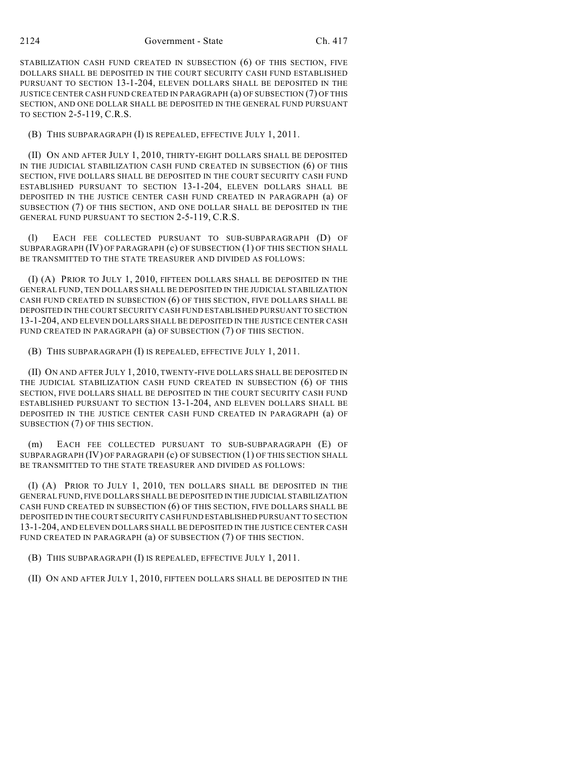STABILIZATION CASH FUND CREATED IN SUBSECTION (6) OF THIS SECTION, FIVE DOLLARS SHALL BE DEPOSITED IN THE COURT SECURITY CASH FUND ESTABLISHED PURSUANT TO SECTION 13-1-204, ELEVEN DOLLARS SHALL BE DEPOSITED IN THE JUSTICE CENTER CASH FUND CREATED IN PARAGRAPH (a) OF SUBSECTION (7) OF THIS SECTION, AND ONE DOLLAR SHALL BE DEPOSITED IN THE GENERAL FUND PURSUANT TO SECTION 2-5-119, C.R.S.

(B) THIS SUBPARAGRAPH (I) IS REPEALED, EFFECTIVE JULY 1, 2011.

(II) ON AND AFTER JULY 1, 2010, THIRTY-EIGHT DOLLARS SHALL BE DEPOSITED IN THE JUDICIAL STABILIZATION CASH FUND CREATED IN SUBSECTION (6) OF THIS SECTION, FIVE DOLLARS SHALL BE DEPOSITED IN THE COURT SECURITY CASH FUND ESTABLISHED PURSUANT TO SECTION 13-1-204, ELEVEN DOLLARS SHALL BE DEPOSITED IN THE JUSTICE CENTER CASH FUND CREATED IN PARAGRAPH (a) OF SUBSECTION (7) OF THIS SECTION, AND ONE DOLLAR SHALL BE DEPOSITED IN THE GENERAL FUND PURSUANT TO SECTION 2-5-119, C.R.S.

(l) EACH FEE COLLECTED PURSUANT TO SUB-SUBPARAGRAPH (D) OF SUBPARAGRAPH (IV) OF PARAGRAPH (c) OF SUBSECTION (1) OF THIS SECTION SHALL BE TRANSMITTED TO THE STATE TREASURER AND DIVIDED AS FOLLOWS:

(I) (A) PRIOR TO JULY 1, 2010, FIFTEEN DOLLARS SHALL BE DEPOSITED IN THE GENERAL FUND, TEN DOLLARS SHALL BE DEPOSITED IN THE JUDICIAL STABILIZATION CASH FUND CREATED IN SUBSECTION (6) OF THIS SECTION, FIVE DOLLARS SHALL BE DEPOSITED IN THE COURT SECURITY CASH FUND ESTABLISHED PURSUANT TO SECTION 13-1-204, AND ELEVEN DOLLARS SHALL BE DEPOSITED IN THE JUSTICE CENTER CASH FUND CREATED IN PARAGRAPH (a) OF SUBSECTION (7) OF THIS SECTION.

(B) THIS SUBPARAGRAPH (I) IS REPEALED, EFFECTIVE JULY 1, 2011.

(II) ON AND AFTER JULY 1, 2010, TWENTY-FIVE DOLLARS SHALL BE DEPOSITED IN THE JUDICIAL STABILIZATION CASH FUND CREATED IN SUBSECTION (6) OF THIS SECTION, FIVE DOLLARS SHALL BE DEPOSITED IN THE COURT SECURITY CASH FUND ESTABLISHED PURSUANT TO SECTION 13-1-204, AND ELEVEN DOLLARS SHALL BE DEPOSITED IN THE JUSTICE CENTER CASH FUND CREATED IN PARAGRAPH (a) OF SUBSECTION (7) OF THIS SECTION.

(m) EACH FEE COLLECTED PURSUANT TO SUB-SUBPARAGRAPH (E) OF SUBPARAGRAPH (IV) OF PARAGRAPH (c) OF SUBSECTION (1) OF THIS SECTION SHALL BE TRANSMITTED TO THE STATE TREASURER AND DIVIDED AS FOLLOWS:

(I) (A) PRIOR TO JULY 1, 2010, TEN DOLLARS SHALL BE DEPOSITED IN THE GENERAL FUND, FIVE DOLLARS SHALL BE DEPOSITED IN THE JUDICIAL STABILIZATION CASH FUND CREATED IN SUBSECTION (6) OF THIS SECTION, FIVE DOLLARS SHALL BE DEPOSITED IN THE COURT SECURITY CASH FUND ESTABLISHED PURSUANT TO SECTION 13-1-204, AND ELEVEN DOLLARS SHALL BE DEPOSITED IN THE JUSTICE CENTER CASH FUND CREATED IN PARAGRAPH (a) OF SUBSECTION (7) OF THIS SECTION.

(B) THIS SUBPARAGRAPH (I) IS REPEALED, EFFECTIVE JULY 1, 2011.

(II) ON AND AFTER JULY 1, 2010, FIFTEEN DOLLARS SHALL BE DEPOSITED IN THE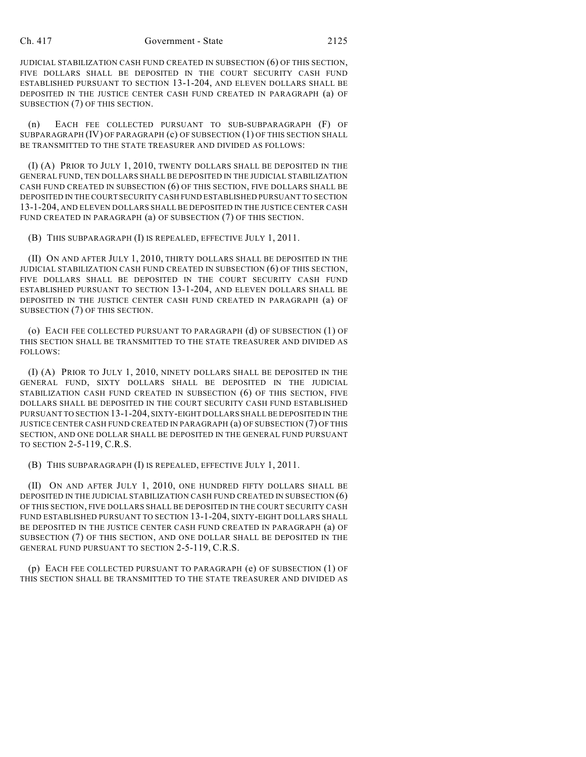JUDICIAL STABILIZATION CASH FUND CREATED IN SUBSECTION (6) OF THIS SECTION, FIVE DOLLARS SHALL BE DEPOSITED IN THE COURT SECURITY CASH FUND ESTABLISHED PURSUANT TO SECTION 13-1-204, AND ELEVEN DOLLARS SHALL BE DEPOSITED IN THE JUSTICE CENTER CASH FUND CREATED IN PARAGRAPH (a) OF SUBSECTION (7) OF THIS SECTION.

(n) EACH FEE COLLECTED PURSUANT TO SUB-SUBPARAGRAPH (F) OF SUBPARAGRAPH (IV) OF PARAGRAPH (c) OF SUBSECTION (1) OF THIS SECTION SHALL BE TRANSMITTED TO THE STATE TREASURER AND DIVIDED AS FOLLOWS:

(I) (A) PRIOR TO JULY 1, 2010, TWENTY DOLLARS SHALL BE DEPOSITED IN THE GENERAL FUND, TEN DOLLARS SHALL BE DEPOSITED IN THE JUDICIAL STABILIZATION CASH FUND CREATED IN SUBSECTION (6) OF THIS SECTION, FIVE DOLLARS SHALL BE DEPOSITED IN THE COURT SECURITY CASH FUND ESTABLISHED PURSUANT TO SECTION 13-1-204, AND ELEVEN DOLLARS SHALL BE DEPOSITED IN THE JUSTICE CENTER CASH FUND CREATED IN PARAGRAPH (a) OF SUBSECTION (7) OF THIS SECTION.

(B) THIS SUBPARAGRAPH (I) IS REPEALED, EFFECTIVE JULY 1, 2011.

(II) ON AND AFTER JULY 1, 2010, THIRTY DOLLARS SHALL BE DEPOSITED IN THE JUDICIAL STABILIZATION CASH FUND CREATED IN SUBSECTION (6) OF THIS SECTION, FIVE DOLLARS SHALL BE DEPOSITED IN THE COURT SECURITY CASH FUND ESTABLISHED PURSUANT TO SECTION 13-1-204, AND ELEVEN DOLLARS SHALL BE DEPOSITED IN THE JUSTICE CENTER CASH FUND CREATED IN PARAGRAPH (a) OF SUBSECTION (7) OF THIS SECTION.

(o) EACH FEE COLLECTED PURSUANT TO PARAGRAPH (d) OF SUBSECTION (1) OF THIS SECTION SHALL BE TRANSMITTED TO THE STATE TREASURER AND DIVIDED AS FOLLOWS:

(I) (A) PRIOR TO JULY 1, 2010, NINETY DOLLARS SHALL BE DEPOSITED IN THE GENERAL FUND, SIXTY DOLLARS SHALL BE DEPOSITED IN THE JUDICIAL STABILIZATION CASH FUND CREATED IN SUBSECTION (6) OF THIS SECTION, FIVE DOLLARS SHALL BE DEPOSITED IN THE COURT SECURITY CASH FUND ESTABLISHED PURSUANT TO SECTION 13-1-204, SIXTY-EIGHT DOLLARS SHALL BE DEPOSITED IN THE JUSTICE CENTER CASH FUND CREATED IN PARAGRAPH (a) OF SUBSECTION (7) OF THIS SECTION, AND ONE DOLLAR SHALL BE DEPOSITED IN THE GENERAL FUND PURSUANT TO SECTION 2-5-119, C.R.S.

(B) THIS SUBPARAGRAPH (I) IS REPEALED, EFFECTIVE JULY 1, 2011.

(II) ON AND AFTER JULY 1, 2010, ONE HUNDRED FIFTY DOLLARS SHALL BE DEPOSITED IN THE JUDICIAL STABILIZATION CASH FUND CREATED IN SUBSECTION (6) OF THIS SECTION, FIVE DOLLARS SHALL BE DEPOSITED IN THE COURT SECURITY CASH FUND ESTABLISHED PURSUANT TO SECTION 13-1-204, SIXTY-EIGHT DOLLARS SHALL BE DEPOSITED IN THE JUSTICE CENTER CASH FUND CREATED IN PARAGRAPH (a) OF SUBSECTION (7) OF THIS SECTION, AND ONE DOLLAR SHALL BE DEPOSITED IN THE GENERAL FUND PURSUANT TO SECTION 2-5-119, C.R.S.

(p) EACH FEE COLLECTED PURSUANT TO PARAGRAPH (e) OF SUBSECTION (1) OF THIS SECTION SHALL BE TRANSMITTED TO THE STATE TREASURER AND DIVIDED AS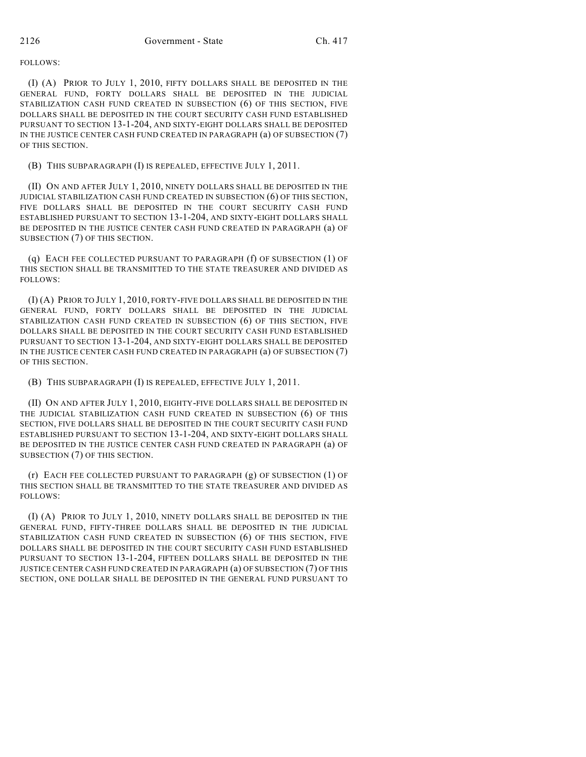FOLLOWS:

(I) (A) PRIOR TO JULY 1, 2010, FIFTY DOLLARS SHALL BE DEPOSITED IN THE GENERAL FUND, FORTY DOLLARS SHALL BE DEPOSITED IN THE JUDICIAL STABILIZATION CASH FUND CREATED IN SUBSECTION (6) OF THIS SECTION, FIVE DOLLARS SHALL BE DEPOSITED IN THE COURT SECURITY CASH FUND ESTABLISHED PURSUANT TO SECTION 13-1-204, AND SIXTY-EIGHT DOLLARS SHALL BE DEPOSITED IN THE JUSTICE CENTER CASH FUND CREATED IN PARAGRAPH (a) OF SUBSECTION (7) OF THIS SECTION.

(B) THIS SUBPARAGRAPH (I) IS REPEALED, EFFECTIVE JULY 1, 2011.

(II) ON AND AFTER JULY 1, 2010, NINETY DOLLARS SHALL BE DEPOSITED IN THE JUDICIAL STABILIZATION CASH FUND CREATED IN SUBSECTION (6) OF THIS SECTION, FIVE DOLLARS SHALL BE DEPOSITED IN THE COURT SECURITY CASH FUND ESTABLISHED PURSUANT TO SECTION 13-1-204, AND SIXTY-EIGHT DOLLARS SHALL BE DEPOSITED IN THE JUSTICE CENTER CASH FUND CREATED IN PARAGRAPH (a) OF SUBSECTION (7) OF THIS SECTION.

(q) EACH FEE COLLECTED PURSUANT TO PARAGRAPH (f) OF SUBSECTION (1) OF THIS SECTION SHALL BE TRANSMITTED TO THE STATE TREASURER AND DIVIDED AS FOLLOWS:

(I) (A) PRIOR TO JULY 1, 2010, FORTY-FIVE DOLLARS SHALL BE DEPOSITED IN THE GENERAL FUND, FORTY DOLLARS SHALL BE DEPOSITED IN THE JUDICIAL STABILIZATION CASH FUND CREATED IN SUBSECTION (6) OF THIS SECTION, FIVE DOLLARS SHALL BE DEPOSITED IN THE COURT SECURITY CASH FUND ESTABLISHED PURSUANT TO SECTION 13-1-204, AND SIXTY-EIGHT DOLLARS SHALL BE DEPOSITED IN THE JUSTICE CENTER CASH FUND CREATED IN PARAGRAPH (a) OF SUBSECTION (7) OF THIS SECTION.

(B) THIS SUBPARAGRAPH (I) IS REPEALED, EFFECTIVE JULY 1, 2011.

(II) ON AND AFTER JULY 1, 2010, EIGHTY-FIVE DOLLARS SHALL BE DEPOSITED IN THE JUDICIAL STABILIZATION CASH FUND CREATED IN SUBSECTION (6) OF THIS SECTION, FIVE DOLLARS SHALL BE DEPOSITED IN THE COURT SECURITY CASH FUND ESTABLISHED PURSUANT TO SECTION 13-1-204, AND SIXTY-EIGHT DOLLARS SHALL BE DEPOSITED IN THE JUSTICE CENTER CASH FUND CREATED IN PARAGRAPH (a) OF SUBSECTION (7) OF THIS SECTION.

(r) EACH FEE COLLECTED PURSUANT TO PARAGRAPH (g) OF SUBSECTION (1) OF THIS SECTION SHALL BE TRANSMITTED TO THE STATE TREASURER AND DIVIDED AS FOLLOWS:

(I) (A) PRIOR TO JULY 1, 2010, NINETY DOLLARS SHALL BE DEPOSITED IN THE GENERAL FUND, FIFTY-THREE DOLLARS SHALL BE DEPOSITED IN THE JUDICIAL STABILIZATION CASH FUND CREATED IN SUBSECTION (6) OF THIS SECTION, FIVE DOLLARS SHALL BE DEPOSITED IN THE COURT SECURITY CASH FUND ESTABLISHED PURSUANT TO SECTION 13-1-204, FIFTEEN DOLLARS SHALL BE DEPOSITED IN THE JUSTICE CENTER CASH FUND CREATED IN PARAGRAPH (a) OF SUBSECTION (7) OF THIS SECTION, ONE DOLLAR SHALL BE DEPOSITED IN THE GENERAL FUND PURSUANT TO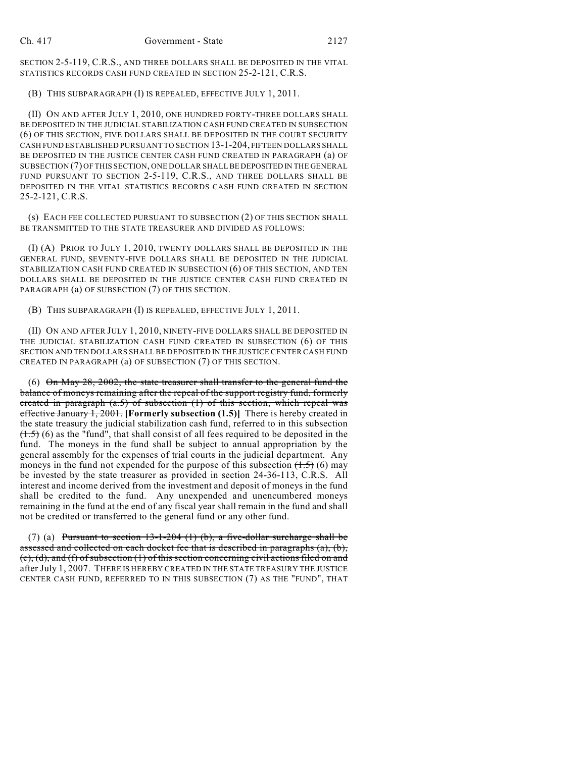SECTION 2-5-119, C.R.S., AND THREE DOLLARS SHALL BE DEPOSITED IN THE VITAL STATISTICS RECORDS CASH FUND CREATED IN SECTION 25-2-121, C.R.S.

(B) THIS SUBPARAGRAPH (I) IS REPEALED, EFFECTIVE JULY 1, 2011.

(II) ON AND AFTER JULY 1, 2010, ONE HUNDRED FORTY-THREE DOLLARS SHALL BE DEPOSITED IN THE JUDICIAL STABILIZATION CASH FUND CREATED IN SUBSECTION (6) OF THIS SECTION, FIVE DOLLARS SHALL BE DEPOSITED IN THE COURT SECURITY CASH FUND ESTABLISHED PURSUANT TO SECTION 13-1-204, FIFTEEN DOLLARS SHALL BE DEPOSITED IN THE JUSTICE CENTER CASH FUND CREATED IN PARAGRAPH (a) OF SUBSECTION (7) OF THIS SECTION, ONE DOLLAR SHALL BE DEPOSITED IN THE GENERAL FUND PURSUANT TO SECTION 2-5-119, C.R.S., AND THREE DOLLARS SHALL BE DEPOSITED IN THE VITAL STATISTICS RECORDS CASH FUND CREATED IN SECTION 25-2-121, C.R.S.

(s) EACH FEE COLLECTED PURSUANT TO SUBSECTION (2) OF THIS SECTION SHALL BE TRANSMITTED TO THE STATE TREASURER AND DIVIDED AS FOLLOWS:

(I) (A) PRIOR TO JULY 1, 2010, TWENTY DOLLARS SHALL BE DEPOSITED IN THE GENERAL FUND, SEVENTY-FIVE DOLLARS SHALL BE DEPOSITED IN THE JUDICIAL STABILIZATION CASH FUND CREATED IN SUBSECTION (6) OF THIS SECTION, AND TEN DOLLARS SHALL BE DEPOSITED IN THE JUSTICE CENTER CASH FUND CREATED IN PARAGRAPH (a) OF SUBSECTION (7) OF THIS SECTION.

(B) THIS SUBPARAGRAPH (I) IS REPEALED, EFFECTIVE JULY 1, 2011.

(II) ON AND AFTER JULY 1, 2010, NINETY-FIVE DOLLARS SHALL BE DEPOSITED IN THE JUDICIAL STABILIZATION CASH FUND CREATED IN SUBSECTION (6) OF THIS SECTION AND TEN DOLLARS SHALL BE DEPOSITED IN THE JUSTICE CENTER CASH FUND CREATED IN PARAGRAPH (a) OF SUBSECTION (7) OF THIS SECTION.

(6) On May 28, 2002, the state treasurer shall transfer to the general fund the balance of moneys remaining after the repeal of the support registry fund, formerly created in paragraph  $(a.5)$  of subsection  $(1)$  of this section, which repeal was effective January 1, 2001. **[Formerly subsection (1.5)]** There is hereby created in the state treasury the judicial stabilization cash fund, referred to in this subsection  $(1.5)$  (6) as the "fund", that shall consist of all fees required to be deposited in the fund. The moneys in the fund shall be subject to annual appropriation by the general assembly for the expenses of trial courts in the judicial department. Any moneys in the fund not expended for the purpose of this subsection  $(1.5)$  (6) may be invested by the state treasurer as provided in section 24-36-113, C.R.S. All interest and income derived from the investment and deposit of moneys in the fund shall be credited to the fund. Any unexpended and unencumbered moneys remaining in the fund at the end of any fiscal year shall remain in the fund and shall not be credited or transferred to the general fund or any other fund.

(7) (a) Pursuant to section  $13-1-204$  (1) (b), a five-dollar surcharge shall be assessed and collected on each docket fee that is described in paragraphs (a), (b),  $(c)$ , (d), and (f) of subsection (1) of this section concerning civil actions filed on and after July 1, 2007. THERE IS HEREBY CREATED IN THE STATE TREASURY THE JUSTICE CENTER CASH FUND, REFERRED TO IN THIS SUBSECTION (7) AS THE "FUND", THAT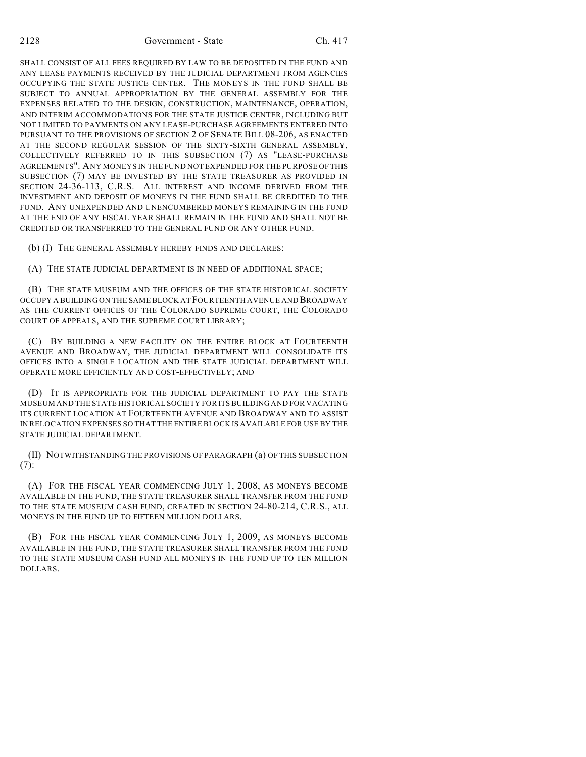SHALL CONSIST OF ALL FEES REQUIRED BY LAW TO BE DEPOSITED IN THE FUND AND ANY LEASE PAYMENTS RECEIVED BY THE JUDICIAL DEPARTMENT FROM AGENCIES OCCUPYING THE STATE JUSTICE CENTER. THE MONEYS IN THE FUND SHALL BE SUBJECT TO ANNUAL APPROPRIATION BY THE GENERAL ASSEMBLY FOR THE EXPENSES RELATED TO THE DESIGN, CONSTRUCTION, MAINTENANCE, OPERATION, AND INTERIM ACCOMMODATIONS FOR THE STATE JUSTICE CENTER, INCLUDING BUT NOT LIMITED TO PAYMENTS ON ANY LEASE-PURCHASE AGREEMENTS ENTERED INTO PURSUANT TO THE PROVISIONS OF SECTION 2 OF SENATE BILL 08-206, AS ENACTED AT THE SECOND REGULAR SESSION OF THE SIXTY-SIXTH GENERAL ASSEMBLY, COLLECTIVELY REFERRED TO IN THIS SUBSECTION (7) AS "LEASE-PURCHASE AGREEMENTS". ANY MONEYS IN THE FUND NOT EXPENDED FOR THE PURPOSE OF THIS SUBSECTION (7) MAY BE INVESTED BY THE STATE TREASURER AS PROVIDED IN SECTION 24-36-113, C.R.S. ALL INTEREST AND INCOME DERIVED FROM THE INVESTMENT AND DEPOSIT OF MONEYS IN THE FUND SHALL BE CREDITED TO THE FUND. ANY UNEXPENDED AND UNENCUMBERED MONEYS REMAINING IN THE FUND AT THE END OF ANY FISCAL YEAR SHALL REMAIN IN THE FUND AND SHALL NOT BE CREDITED OR TRANSFERRED TO THE GENERAL FUND OR ANY OTHER FUND.

(b) (I) THE GENERAL ASSEMBLY HEREBY FINDS AND DECLARES:

(A) THE STATE JUDICIAL DEPARTMENT IS IN NEED OF ADDITIONAL SPACE;

(B) THE STATE MUSEUM AND THE OFFICES OF THE STATE HISTORICAL SOCIETY OCCUPY A BUILDING ON THE SAME BLOCK AT FOURTEENTH AVENUE AND BROADWAY AS THE CURRENT OFFICES OF THE COLORADO SUPREME COURT, THE COLORADO COURT OF APPEALS, AND THE SUPREME COURT LIBRARY;

(C) BY BUILDING A NEW FACILITY ON THE ENTIRE BLOCK AT FOURTEENTH AVENUE AND BROADWAY, THE JUDICIAL DEPARTMENT WILL CONSOLIDATE ITS OFFICES INTO A SINGLE LOCATION AND THE STATE JUDICIAL DEPARTMENT WILL OPERATE MORE EFFICIENTLY AND COST-EFFECTIVELY; AND

(D) IT IS APPROPRIATE FOR THE JUDICIAL DEPARTMENT TO PAY THE STATE MUSEUM AND THE STATE HISTORICAL SOCIETY FOR ITS BUILDING AND FOR VACATING ITS CURRENT LOCATION AT FOURTEENTH AVENUE AND BROADWAY AND TO ASSIST IN RELOCATION EXPENSES SO THAT THE ENTIRE BLOCK IS AVAILABLE FOR USE BY THE STATE JUDICIAL DEPARTMENT.

(II) NOTWITHSTANDING THE PROVISIONS OF PARAGRAPH (a) OF THIS SUBSECTION  $(7):$ 

(A) FOR THE FISCAL YEAR COMMENCING JULY 1, 2008, AS MONEYS BECOME AVAILABLE IN THE FUND, THE STATE TREASURER SHALL TRANSFER FROM THE FUND TO THE STATE MUSEUM CASH FUND, CREATED IN SECTION 24-80-214, C.R.S., ALL MONEYS IN THE FUND UP TO FIFTEEN MILLION DOLLARS.

(B) FOR THE FISCAL YEAR COMMENCING JULY 1, 2009, AS MONEYS BECOME AVAILABLE IN THE FUND, THE STATE TREASURER SHALL TRANSFER FROM THE FUND TO THE STATE MUSEUM CASH FUND ALL MONEYS IN THE FUND UP TO TEN MILLION DOLLARS.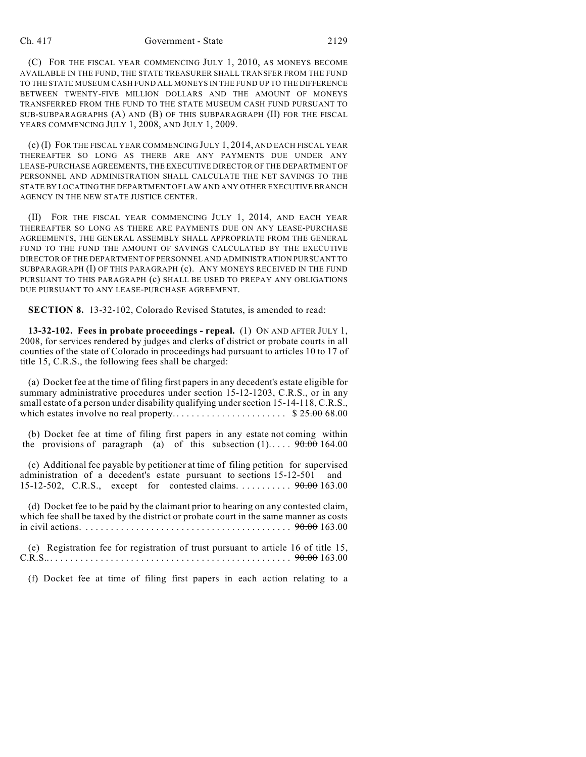(C) FOR THE FISCAL YEAR COMMENCING JULY 1, 2010, AS MONEYS BECOME AVAILABLE IN THE FUND, THE STATE TREASURER SHALL TRANSFER FROM THE FUND TO THE STATE MUSEUM CASH FUND ALL MONEYS IN THE FUND UP TO THE DIFFERENCE BETWEEN TWENTY-FIVE MILLION DOLLARS AND THE AMOUNT OF MONEYS TRANSFERRED FROM THE FUND TO THE STATE MUSEUM CASH FUND PURSUANT TO SUB-SUBPARAGRAPHS (A) AND (B) OF THIS SUBPARAGRAPH (II) FOR THE FISCAL YEARS COMMENCING JULY 1, 2008, AND JULY 1, 2009.

(c) (I) FOR THE FISCAL YEAR COMMENCING JULY 1, 2014, AND EACH FISCAL YEAR THEREAFTER SO LONG AS THERE ARE ANY PAYMENTS DUE UNDER ANY LEASE-PURCHASE AGREEMENTS, THE EXECUTIVE DIRECTOR OF THE DEPARTMENT OF PERSONNEL AND ADMINISTRATION SHALL CALCULATE THE NET SAVINGS TO THE STATE BY LOCATING THE DEPARTMENT OF LAW AND ANY OTHER EXECUTIVE BRANCH AGENCY IN THE NEW STATE JUSTICE CENTER.

(II) FOR THE FISCAL YEAR COMMENCING JULY 1, 2014, AND EACH YEAR THEREAFTER SO LONG AS THERE ARE PAYMENTS DUE ON ANY LEASE-PURCHASE AGREEMENTS, THE GENERAL ASSEMBLY SHALL APPROPRIATE FROM THE GENERAL FUND TO THE FUND THE AMOUNT OF SAVINGS CALCULATED BY THE EXECUTIVE DIRECTOR OF THE DEPARTMENT OF PERSONNEL AND ADMINISTRATION PURSUANT TO SUBPARAGRAPH (I) OF THIS PARAGRAPH (c). ANY MONEYS RECEIVED IN THE FUND PURSUANT TO THIS PARAGRAPH (c) SHALL BE USED TO PREPAY ANY OBLIGATIONS DUE PURSUANT TO ANY LEASE-PURCHASE AGREEMENT.

**SECTION 8.** 13-32-102, Colorado Revised Statutes, is amended to read:

**13-32-102. Fees in probate proceedings - repeal.** (1) ON AND AFTER JULY 1, 2008, for services rendered by judges and clerks of district or probate courts in all counties of the state of Colorado in proceedings had pursuant to articles 10 to 17 of title 15, C.R.S., the following fees shall be charged:

(a) Docket fee at the time of filing first papers in any decedent's estate eligible for summary administrative procedures under section 15-12-1203, C.R.S., or in any small estate of a person under disability qualifying under section 15-14-118, C.R.S., which estates involve no real property. . . . . . . . . . . . . . . . . . . . . . . \$ 25.00 68.00

(b) Docket fee at time of filing first papers in any estate not coming within the provisions of paragraph (a) of this subsection  $(1)$ ....  $90.00$  164.00

(c) Additional fee payable by petitioner at time of filing petition for supervised administration of a decedent's estate pursuant to sections 15-12-501 and 15-12-502, C.R.S., except for contested claims. . . . . . . . . . . . 90.00 163.00

(d) Docket fee to be paid by the claimant prior to hearing on any contested claim, which fee shall be taxed by the district or probate court in the same manner as costs in civil actions. .... .... .... .... .... .... .... .... .... .... . 90.00 163.00

(e) Registration fee for registration of trust pursuant to article 16 of title 15, C.R.S...... .... .... .... .... .... .... .... .... .... .... .... 90.00 163.00

(f) Docket fee at time of filing first papers in each action relating to a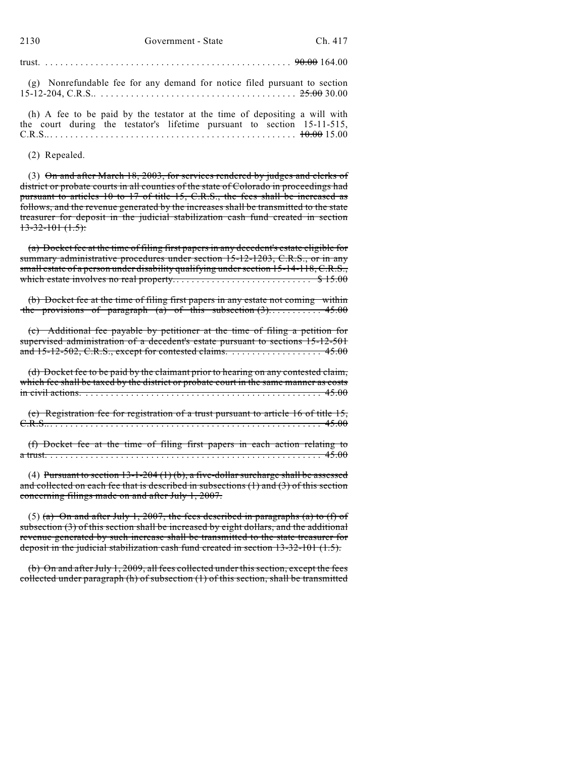|--|--|--|

(g) Nonrefundable fee for any demand for notice filed pursuant to section 15-12-204, C.R.S.. .... .... .... .... .... .... .... .... .... ... 25.00 30.00

(h) A fee to be paid by the testator at the time of depositing a will with the court during the testator's lifetime pursuant to section 15-11-515, C.R.S...... .... .... .... .... .... .... .... .... .... .... .... . 10.00 15.00

(2) Repealed.

(3) On and after March 18, 2003, for services rendered by judges and clerks of district or probate courts in all counties of the state of Colorado in proceedings had pursuant to articles 10 to 17 of title 15, C.R.S., the fees shall be increased as follows, and the revenue generated by the increases shall be transmitted to the state treasurer for deposit in the judicial stabilization cash fund created in section  $13-32-101(1.5)$ :

(a) Docket fee at the time of filing first papers in any decedent's estate eligible for summary administrative procedures under section 15-12-1203, C.R.S., or in any small estate of a person under disability qualifying under section 15-14-118, C.R.S., which estate involves no real property. . . . . . . . . . . . . . . . . . . . . . . . . . . . \$ 15.00

(b) Docket fee at the time of filing first papers in any estate not coming within the provisions of paragraph (a) of this subsection  $(3)$ ............ 45.00

(c) Additional fee payable by petitioner at the time of filing a petition for supervised administration of a decedent's estate pursuant to sections 15-12-501 and 15-12-502, C.R.S., except for contested claims. . . . . . . . . . . . . . . . . . . 45.00

(d) Docket fee to be paid by the claimant prior to hearing on any contested claim, which fee shall be taxed by the district or probate court in the same manner as costs in civil actions. .... .... .... .... .... .... .... .... .... .... .... ... 45.00

(e) Registration fee for registration of a trust pursuant to article 16 of title 15, C.R.S...... .... .... .... .... .... .... .... .... .... .... .... .... . . 45.00

(f) Docket fee at the time of filing first papers in each action relating to a trust. .... .... .... .... .... .... .... .... .... .... .... .... .... . . 45.00

(4) Pursuant to section  $13-1-204(1)(b)$ , a five-dollar surcharge shall be assessed and collected on each fee that is described in subsections  $(1)$  and  $(3)$  of this section concerning filings made on and after July 1, 2007.

(5) (a) On and after July 1, 2007, the fees described in paragraphs (a) to (f) of subsection (3) of this section shall be increased by eight dollars, and the additional revenue generated by such increase shall be transmitted to the state treasurer for deposit in the judicial stabilization cash fund created in section 13-32-101 (1.5).

(b) On and after July 1, 2009, all fees collected under this section, except the fees collected under paragraph (h) of subsection (1) of this section, shall be transmitted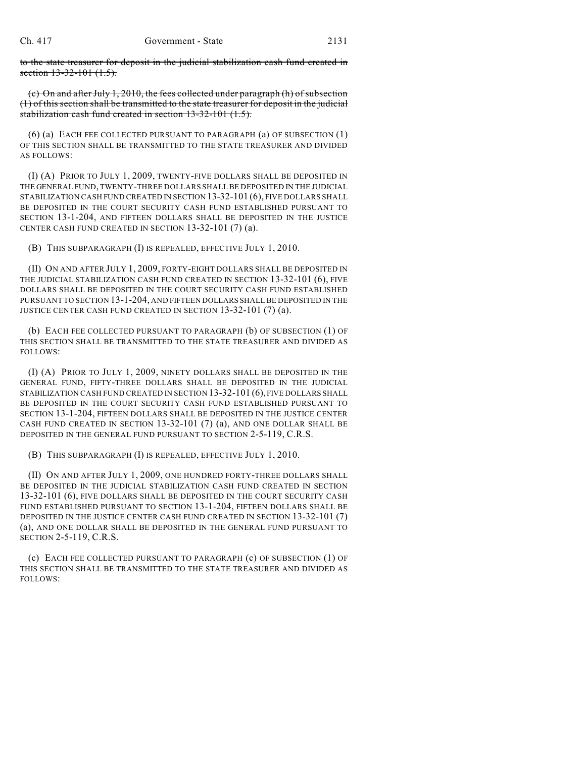to the state treasurer for deposit in the judicial stabilization cash fund created in section 13-32-101 (1.5).

(c) On and after July 1, 2010, the fees collected under paragraph (h) of subsection (1) of this section shall be transmitted to the state treasurer for deposit in the judicial stabilization cash fund created in section 13-32-101 (1.5).

(6) (a) EACH FEE COLLECTED PURSUANT TO PARAGRAPH (a) OF SUBSECTION (1) OF THIS SECTION SHALL BE TRANSMITTED TO THE STATE TREASURER AND DIVIDED AS FOLLOWS:

(I) (A) PRIOR TO JULY 1, 2009, TWENTY-FIVE DOLLARS SHALL BE DEPOSITED IN THE GENERAL FUND, TWENTY-THREE DOLLARS SHALL BE DEPOSITED IN THE JUDICIAL STABILIZATION CASH FUND CREATED IN SECTION 13-32-101 (6), FIVE DOLLARS SHALL BE DEPOSITED IN THE COURT SECURITY CASH FUND ESTABLISHED PURSUANT TO SECTION 13-1-204, AND FIFTEEN DOLLARS SHALL BE DEPOSITED IN THE JUSTICE CENTER CASH FUND CREATED IN SECTION 13-32-101 (7) (a).

(B) THIS SUBPARAGRAPH (I) IS REPEALED, EFFECTIVE JULY 1, 2010.

(II) ON AND AFTER JULY 1, 2009, FORTY-EIGHT DOLLARS SHALL BE DEPOSITED IN THE JUDICIAL STABILIZATION CASH FUND CREATED IN SECTION 13-32-101 (6), FIVE DOLLARS SHALL BE DEPOSITED IN THE COURT SECURITY CASH FUND ESTABLISHED PURSUANT TO SECTION 13-1-204, AND FIFTEEN DOLLARS SHALL BE DEPOSITED IN THE JUSTICE CENTER CASH FUND CREATED IN SECTION 13-32-101 (7) (a).

(b) EACH FEE COLLECTED PURSUANT TO PARAGRAPH (b) OF SUBSECTION (1) OF THIS SECTION SHALL BE TRANSMITTED TO THE STATE TREASURER AND DIVIDED AS FOLLOWS:

(I) (A) PRIOR TO JULY 1, 2009, NINETY DOLLARS SHALL BE DEPOSITED IN THE GENERAL FUND, FIFTY-THREE DOLLARS SHALL BE DEPOSITED IN THE JUDICIAL STABILIZATION CASH FUND CREATED IN SECTION 13-32-101 (6), FIVE DOLLARS SHALL BE DEPOSITED IN THE COURT SECURITY CASH FUND ESTABLISHED PURSUANT TO SECTION 13-1-204, FIFTEEN DOLLARS SHALL BE DEPOSITED IN THE JUSTICE CENTER CASH FUND CREATED IN SECTION  $13-32-101$  (7) (a), AND ONE DOLLAR SHALL BE DEPOSITED IN THE GENERAL FUND PURSUANT TO SECTION 2-5-119, C.R.S.

(B) THIS SUBPARAGRAPH (I) IS REPEALED, EFFECTIVE JULY 1, 2010.

(II) ON AND AFTER JULY 1, 2009, ONE HUNDRED FORTY-THREE DOLLARS SHALL BE DEPOSITED IN THE JUDICIAL STABILIZATION CASH FUND CREATED IN SECTION 13-32-101 (6), FIVE DOLLARS SHALL BE DEPOSITED IN THE COURT SECURITY CASH FUND ESTABLISHED PURSUANT TO SECTION 13-1-204, FIFTEEN DOLLARS SHALL BE DEPOSITED IN THE JUSTICE CENTER CASH FUND CREATED IN SECTION 13-32-101 (7) (a), AND ONE DOLLAR SHALL BE DEPOSITED IN THE GENERAL FUND PURSUANT TO SECTION 2-5-119, C.R.S.

(c) EACH FEE COLLECTED PURSUANT TO PARAGRAPH (c) OF SUBSECTION (1) OF THIS SECTION SHALL BE TRANSMITTED TO THE STATE TREASURER AND DIVIDED AS FOLLOWS: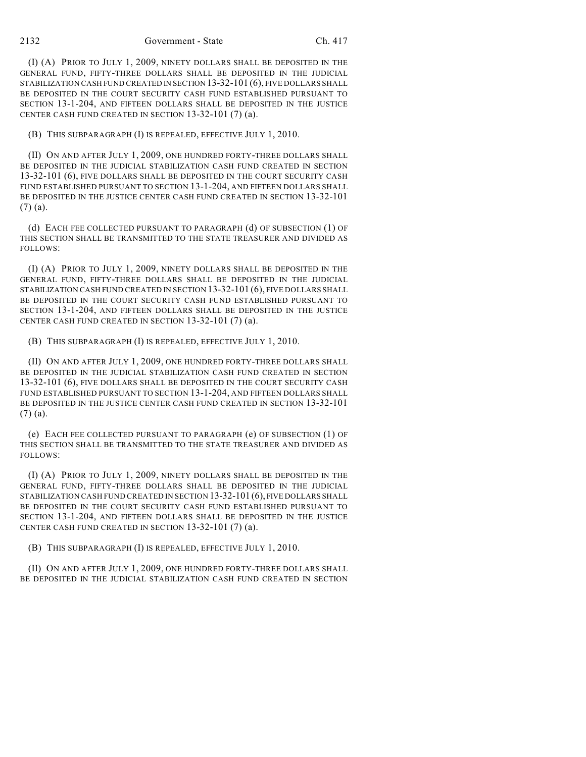(I) (A) PRIOR TO JULY 1, 2009, NINETY DOLLARS SHALL BE DEPOSITED IN THE GENERAL FUND, FIFTY-THREE DOLLARS SHALL BE DEPOSITED IN THE JUDICIAL STABILIZATION CASH FUND CREATED IN SECTION 13-32-101 (6), FIVE DOLLARS SHALL BE DEPOSITED IN THE COURT SECURITY CASH FUND ESTABLISHED PURSUANT TO SECTION 13-1-204, AND FIFTEEN DOLLARS SHALL BE DEPOSITED IN THE JUSTICE CENTER CASH FUND CREATED IN SECTION 13-32-101 (7) (a).

(B) THIS SUBPARAGRAPH (I) IS REPEALED, EFFECTIVE JULY 1, 2010.

(II) ON AND AFTER JULY 1, 2009, ONE HUNDRED FORTY-THREE DOLLARS SHALL BE DEPOSITED IN THE JUDICIAL STABILIZATION CASH FUND CREATED IN SECTION 13-32-101 (6), FIVE DOLLARS SHALL BE DEPOSITED IN THE COURT SECURITY CASH FUND ESTABLISHED PURSUANT TO SECTION 13-1-204, AND FIFTEEN DOLLARS SHALL BE DEPOSITED IN THE JUSTICE CENTER CASH FUND CREATED IN SECTION 13-32-101 (7) (a).

(d) EACH FEE COLLECTED PURSUANT TO PARAGRAPH (d) OF SUBSECTION (1) OF THIS SECTION SHALL BE TRANSMITTED TO THE STATE TREASURER AND DIVIDED AS FOLLOWS:

(I) (A) PRIOR TO JULY 1, 2009, NINETY DOLLARS SHALL BE DEPOSITED IN THE GENERAL FUND, FIFTY-THREE DOLLARS SHALL BE DEPOSITED IN THE JUDICIAL STABILIZATION CASH FUND CREATED IN SECTION 13-32-101 (6), FIVE DOLLARS SHALL BE DEPOSITED IN THE COURT SECURITY CASH FUND ESTABLISHED PURSUANT TO SECTION 13-1-204, AND FIFTEEN DOLLARS SHALL BE DEPOSITED IN THE JUSTICE CENTER CASH FUND CREATED IN SECTION 13-32-101 (7) (a).

(B) THIS SUBPARAGRAPH (I) IS REPEALED, EFFECTIVE JULY 1, 2010.

(II) ON AND AFTER JULY 1, 2009, ONE HUNDRED FORTY-THREE DOLLARS SHALL BE DEPOSITED IN THE JUDICIAL STABILIZATION CASH FUND CREATED IN SECTION 13-32-101 (6), FIVE DOLLARS SHALL BE DEPOSITED IN THE COURT SECURITY CASH FUND ESTABLISHED PURSUANT TO SECTION 13-1-204, AND FIFTEEN DOLLARS SHALL BE DEPOSITED IN THE JUSTICE CENTER CASH FUND CREATED IN SECTION 13-32-101 (7) (a).

(e) EACH FEE COLLECTED PURSUANT TO PARAGRAPH (e) OF SUBSECTION (1) OF THIS SECTION SHALL BE TRANSMITTED TO THE STATE TREASURER AND DIVIDED AS FOLLOWS:

(I) (A) PRIOR TO JULY 1, 2009, NINETY DOLLARS SHALL BE DEPOSITED IN THE GENERAL FUND, FIFTY-THREE DOLLARS SHALL BE DEPOSITED IN THE JUDICIAL STABILIZATION CASH FUND CREATED IN SECTION 13-32-101 (6), FIVE DOLLARS SHALL BE DEPOSITED IN THE COURT SECURITY CASH FUND ESTABLISHED PURSUANT TO SECTION 13-1-204, AND FIFTEEN DOLLARS SHALL BE DEPOSITED IN THE JUSTICE CENTER CASH FUND CREATED IN SECTION 13-32-101 (7) (a).

(B) THIS SUBPARAGRAPH (I) IS REPEALED, EFFECTIVE JULY 1, 2010.

(II) ON AND AFTER JULY 1, 2009, ONE HUNDRED FORTY-THREE DOLLARS SHALL BE DEPOSITED IN THE JUDICIAL STABILIZATION CASH FUND CREATED IN SECTION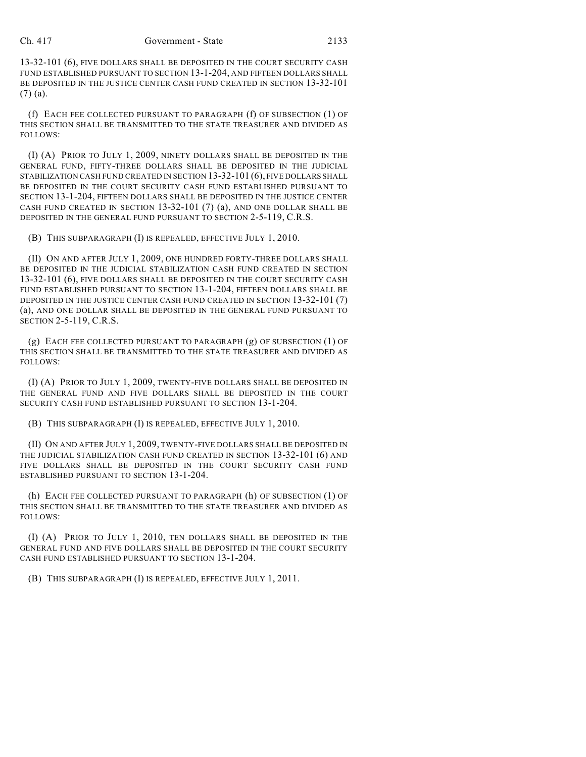#### Ch. 417 Government - State 2133

13-32-101 (6), FIVE DOLLARS SHALL BE DEPOSITED IN THE COURT SECURITY CASH FUND ESTABLISHED PURSUANT TO SECTION 13-1-204, AND FIFTEEN DOLLARS SHALL BE DEPOSITED IN THE JUSTICE CENTER CASH FUND CREATED IN SECTION 13-32-101 (7) (a).

(f) EACH FEE COLLECTED PURSUANT TO PARAGRAPH (f) OF SUBSECTION (1) OF THIS SECTION SHALL BE TRANSMITTED TO THE STATE TREASURER AND DIVIDED AS FOLLOWS:

(I) (A) PRIOR TO JULY 1, 2009, NINETY DOLLARS SHALL BE DEPOSITED IN THE GENERAL FUND, FIFTY-THREE DOLLARS SHALL BE DEPOSITED IN THE JUDICIAL STABILIZATION CASH FUND CREATED IN SECTION 13-32-101 (6), FIVE DOLLARS SHALL BE DEPOSITED IN THE COURT SECURITY CASH FUND ESTABLISHED PURSUANT TO SECTION 13-1-204, FIFTEEN DOLLARS SHALL BE DEPOSITED IN THE JUSTICE CENTER CASH FUND CREATED IN SECTION 13-32-101 (7) (a), AND ONE DOLLAR SHALL BE DEPOSITED IN THE GENERAL FUND PURSUANT TO SECTION 2-5-119, C.R.S.

(B) THIS SUBPARAGRAPH (I) IS REPEALED, EFFECTIVE JULY 1, 2010.

(II) ON AND AFTER JULY 1, 2009, ONE HUNDRED FORTY-THREE DOLLARS SHALL BE DEPOSITED IN THE JUDICIAL STABILIZATION CASH FUND CREATED IN SECTION 13-32-101 (6), FIVE DOLLARS SHALL BE DEPOSITED IN THE COURT SECURITY CASH FUND ESTABLISHED PURSUANT TO SECTION 13-1-204, FIFTEEN DOLLARS SHALL BE DEPOSITED IN THE JUSTICE CENTER CASH FUND CREATED IN SECTION 13-32-101 (7) (a), AND ONE DOLLAR SHALL BE DEPOSITED IN THE GENERAL FUND PURSUANT TO SECTION 2-5-119, C.R.S.

(g) EACH FEE COLLECTED PURSUANT TO PARAGRAPH (g) OF SUBSECTION (1) OF THIS SECTION SHALL BE TRANSMITTED TO THE STATE TREASURER AND DIVIDED AS FOLLOWS:

(I) (A) PRIOR TO JULY 1, 2009, TWENTY-FIVE DOLLARS SHALL BE DEPOSITED IN THE GENERAL FUND AND FIVE DOLLARS SHALL BE DEPOSITED IN THE COURT SECURITY CASH FUND ESTABLISHED PURSUANT TO SECTION 13-1-204.

(B) THIS SUBPARAGRAPH (I) IS REPEALED, EFFECTIVE JULY 1, 2010.

(II) ON AND AFTER JULY 1, 2009, TWENTY-FIVE DOLLARS SHALL BE DEPOSITED IN THE JUDICIAL STABILIZATION CASH FUND CREATED IN SECTION 13-32-101 (6) AND FIVE DOLLARS SHALL BE DEPOSITED IN THE COURT SECURITY CASH FUND ESTABLISHED PURSUANT TO SECTION 13-1-204.

(h) EACH FEE COLLECTED PURSUANT TO PARAGRAPH (h) OF SUBSECTION (1) OF THIS SECTION SHALL BE TRANSMITTED TO THE STATE TREASURER AND DIVIDED AS FOLLOWS:

(I) (A) PRIOR TO JULY 1, 2010, TEN DOLLARS SHALL BE DEPOSITED IN THE GENERAL FUND AND FIVE DOLLARS SHALL BE DEPOSITED IN THE COURT SECURITY CASH FUND ESTABLISHED PURSUANT TO SECTION 13-1-204.

(B) THIS SUBPARAGRAPH (I) IS REPEALED, EFFECTIVE JULY 1, 2011.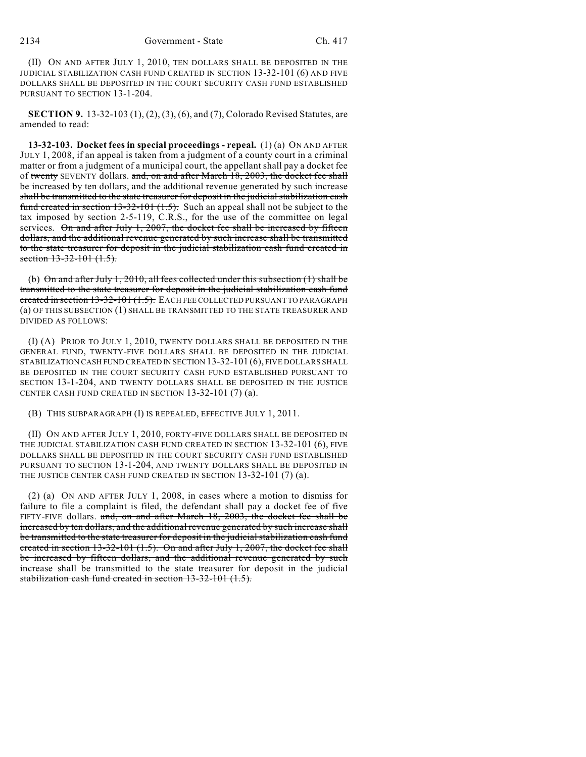(II) ON AND AFTER JULY 1, 2010, TEN DOLLARS SHALL BE DEPOSITED IN THE JUDICIAL STABILIZATION CASH FUND CREATED IN SECTION 13-32-101 (6) AND FIVE DOLLARS SHALL BE DEPOSITED IN THE COURT SECURITY CASH FUND ESTABLISHED PURSUANT TO SECTION 13-1-204.

**SECTION 9.** 13-32-103 (1), (2), (3), (6), and (7), Colorado Revised Statutes, are amended to read:

**13-32-103. Docket fees in special proceedings - repeal.** (1) (a) ON AND AFTER JULY 1, 2008, if an appeal is taken from a judgment of a county court in a criminal matter or from a judgment of a municipal court, the appellant shall pay a docket fee of twenty SEVENTY dollars. and, on and after March 18, 2003, the docket fee shall be increased by ten dollars, and the additional revenue generated by such increase shall be transmitted to the state treasurer for deposit in the judicial stabilization cash fund created in section 13-32-101 (1.5). Such an appeal shall not be subject to the tax imposed by section 2-5-119, C.R.S., for the use of the committee on legal services. On and after July 1, 2007, the docket fee shall be increased by fifteen dollars, and the additional revenue generated by such increase shall be transmitted to the state treasurer for deposit in the judicial stabilization cash fund created in section 13-32-101 (1.5).

(b) On and after July 1, 2010, all fees collected under this subsection  $(1)$  shall be transmitted to the state treasurer for deposit in the judicial stabilization cash fund created in section 13-32-101 (1.5). EACH FEE COLLECTED PURSUANT TO PARAGRAPH (a) OF THIS SUBSECTION (1) SHALL BE TRANSMITTED TO THE STATE TREASURER AND DIVIDED AS FOLLOWS:

(I) (A) PRIOR TO JULY 1, 2010, TWENTY DOLLARS SHALL BE DEPOSITED IN THE GENERAL FUND, TWENTY-FIVE DOLLARS SHALL BE DEPOSITED IN THE JUDICIAL STABILIZATION CASH FUND CREATED IN SECTION 13-32-101 (6), FIVE DOLLARS SHALL BE DEPOSITED IN THE COURT SECURITY CASH FUND ESTABLISHED PURSUANT TO SECTION 13-1-204, AND TWENTY DOLLARS SHALL BE DEPOSITED IN THE JUSTICE CENTER CASH FUND CREATED IN SECTION 13-32-101 (7) (a).

(B) THIS SUBPARAGRAPH (I) IS REPEALED, EFFECTIVE JULY 1, 2011.

(II) ON AND AFTER JULY 1, 2010, FORTY-FIVE DOLLARS SHALL BE DEPOSITED IN THE JUDICIAL STABILIZATION CASH FUND CREATED IN SECTION 13-32-101 (6), FIVE DOLLARS SHALL BE DEPOSITED IN THE COURT SECURITY CASH FUND ESTABLISHED PURSUANT TO SECTION 13-1-204, AND TWENTY DOLLARS SHALL BE DEPOSITED IN THE JUSTICE CENTER CASH FUND CREATED IN SECTION 13-32-101 (7) (a).

(2) (a) ON AND AFTER JULY 1, 2008, in cases where a motion to dismiss for failure to file a complaint is filed, the defendant shall pay a docket fee of five FIFTY-FIVE dollars. and, on and after March 18, 2003, the docket fee shall be increased by ten dollars, and the additional revenue generated by such increase shall be transmitted to the state treasurer for deposit in the judicial stabilization cash fund created in section 13-32-101 (1.5). On and after July 1, 2007, the docket fee shall be increased by fifteen dollars, and the additional revenue generated by such increase shall be transmitted to the state treasurer for deposit in the judicial stabilization cash fund created in section 13-32-101 (1.5).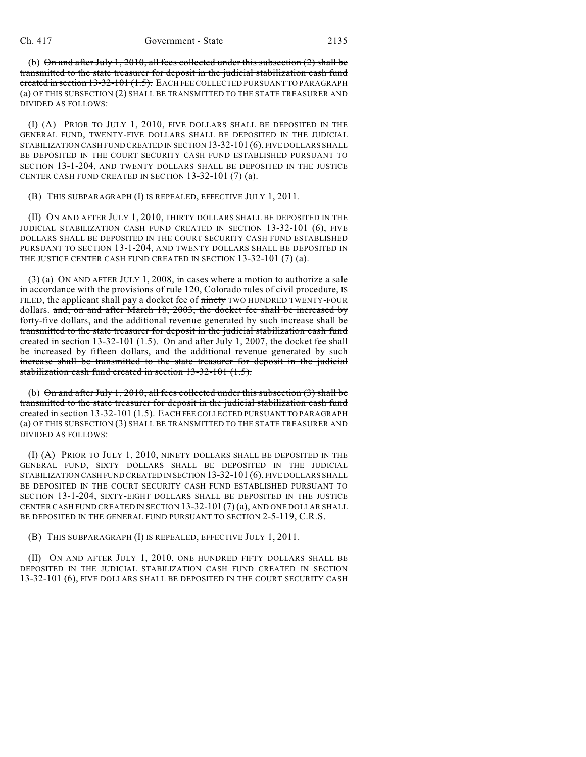(b) On and after July 1, 2010, all fees collected under this subsection (2) shall be transmitted to the state treasurer for deposit in the judicial stabilization cash fund created in section 13-32-101 (1.5). EACH FEE COLLECTED PURSUANT TO PARAGRAPH (a) OF THIS SUBSECTION (2) SHALL BE TRANSMITTED TO THE STATE TREASURER AND DIVIDED AS FOLLOWS:

(I) (A) PRIOR TO JULY 1, 2010, FIVE DOLLARS SHALL BE DEPOSITED IN THE GENERAL FUND, TWENTY-FIVE DOLLARS SHALL BE DEPOSITED IN THE JUDICIAL STABILIZATION CASH FUND CREATED IN SECTION 13-32-101 (6), FIVE DOLLARS SHALL BE DEPOSITED IN THE COURT SECURITY CASH FUND ESTABLISHED PURSUANT TO SECTION 13-1-204, AND TWENTY DOLLARS SHALL BE DEPOSITED IN THE JUSTICE CENTER CASH FUND CREATED IN SECTION 13-32-101 (7) (a).

(B) THIS SUBPARAGRAPH (I) IS REPEALED, EFFECTIVE JULY 1, 2011.

(II) ON AND AFTER JULY 1, 2010, THIRTY DOLLARS SHALL BE DEPOSITED IN THE JUDICIAL STABILIZATION CASH FUND CREATED IN SECTION 13-32-101 (6), FIVE DOLLARS SHALL BE DEPOSITED IN THE COURT SECURITY CASH FUND ESTABLISHED PURSUANT TO SECTION 13-1-204, AND TWENTY DOLLARS SHALL BE DEPOSITED IN THE JUSTICE CENTER CASH FUND CREATED IN SECTION 13-32-101 (7) (a).

(3) (a) ON AND AFTER JULY 1, 2008, in cases where a motion to authorize a sale in accordance with the provisions of rule 120, Colorado rules of civil procedure, IS FILED, the applicant shall pay a docket fee of ninety TWO HUNDRED TWENTY-FOUR dollars. and, on and after March 18, 2003, the docket fee shall be increased by forty-five dollars, and the additional revenue generated by such increase shall be transmitted to the state treasurer for deposit in the judicial stabilization cash fund created in section 13-32-101 (1.5). On and after July 1, 2007, the docket fee shall be increased by fifteen dollars, and the additional revenue generated by such increase shall be transmitted to the state treasurer for deposit in the judicial stabilization cash fund created in section 13-32-101 (1.5).

(b) On and after July 1, 2010, all fees collected under this subsection  $(3)$  shall be transmitted to the state treasurer for deposit in the judicial stabilization cash fund created in section 13-32-101 (1.5). EACH FEE COLLECTED PURSUANT TO PARAGRAPH (a) OF THIS SUBSECTION (3) SHALL BE TRANSMITTED TO THE STATE TREASURER AND DIVIDED AS FOLLOWS:

(I) (A) PRIOR TO JULY 1, 2010, NINETY DOLLARS SHALL BE DEPOSITED IN THE GENERAL FUND, SIXTY DOLLARS SHALL BE DEPOSITED IN THE JUDICIAL STABILIZATION CASH FUND CREATED IN SECTION 13-32-101 (6), FIVE DOLLARS SHALL BE DEPOSITED IN THE COURT SECURITY CASH FUND ESTABLISHED PURSUANT TO SECTION 13-1-204, SIXTY-EIGHT DOLLARS SHALL BE DEPOSITED IN THE JUSTICE CENTER CASH FUND CREATED IN SECTION 13-32-101 (7) (a), AND ONE DOLLAR SHALL BE DEPOSITED IN THE GENERAL FUND PURSUANT TO SECTION 2-5-119, C.R.S.

(B) THIS SUBPARAGRAPH (I) IS REPEALED, EFFECTIVE JULY 1, 2011.

(II) ON AND AFTER JULY 1, 2010, ONE HUNDRED FIFTY DOLLARS SHALL BE DEPOSITED IN THE JUDICIAL STABILIZATION CASH FUND CREATED IN SECTION 13-32-101 (6), FIVE DOLLARS SHALL BE DEPOSITED IN THE COURT SECURITY CASH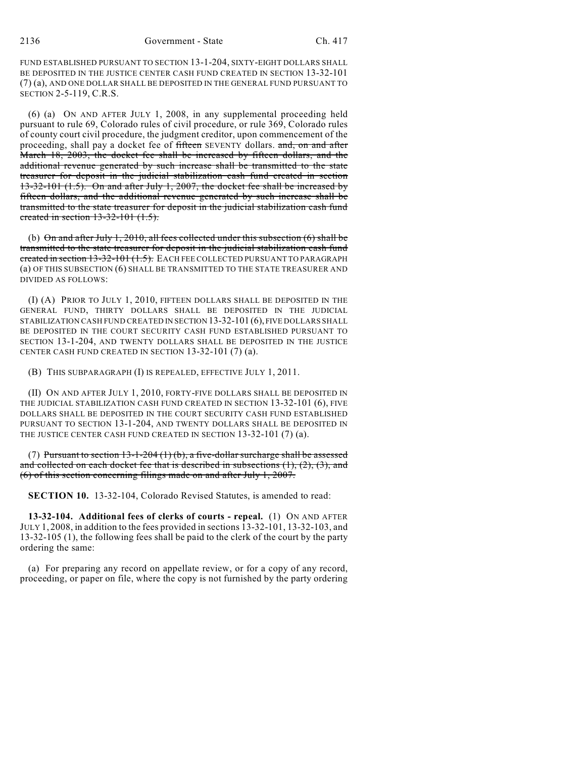FUND ESTABLISHED PURSUANT TO SECTION 13-1-204, SIXTY-EIGHT DOLLARS SHALL BE DEPOSITED IN THE JUSTICE CENTER CASH FUND CREATED IN SECTION 13-32-101 (7) (a), AND ONE DOLLAR SHALL BE DEPOSITED IN THE GENERAL FUND PURSUANT TO SECTION 2-5-119, C.R.S.

(6) (a) ON AND AFTER JULY 1, 2008, in any supplemental proceeding held pursuant to rule 69, Colorado rules of civil procedure, or rule 369, Colorado rules of county court civil procedure, the judgment creditor, upon commencement of the proceeding, shall pay a docket fee of fifteen SEVENTY dollars. and, on and after March 18, 2003, the docket fee shall be increased by fifteen dollars, and the additional revenue generated by such increase shall be transmitted to the state treasurer for deposit in the judicial stabilization cash fund created in section 13-32-101 (1.5). On and after July 1, 2007, the docket fee shall be increased by fifteen dollars, and the additional revenue generated by such increase shall be transmitted to the state treasurer for deposit in the judicial stabilization cash fund created in section 13-32-101 (1.5).

(b)  $\Theta$ n and after July 1, 2010, all fees collected under this subsection (6) shall be transmitted to the state treasurer for deposit in the judicial stabilization cash fund created in section 13-32-101 (1.5). EACH FEE COLLECTED PURSUANT TO PARAGRAPH (a) OF THIS SUBSECTION (6) SHALL BE TRANSMITTED TO THE STATE TREASURER AND DIVIDED AS FOLLOWS:

(I) (A) PRIOR TO JULY 1, 2010, FIFTEEN DOLLARS SHALL BE DEPOSITED IN THE GENERAL FUND, THIRTY DOLLARS SHALL BE DEPOSITED IN THE JUDICIAL STABILIZATION CASH FUND CREATED IN SECTION 13-32-101 (6), FIVE DOLLARS SHALL BE DEPOSITED IN THE COURT SECURITY CASH FUND ESTABLISHED PURSUANT TO SECTION 13-1-204, AND TWENTY DOLLARS SHALL BE DEPOSITED IN THE JUSTICE CENTER CASH FUND CREATED IN SECTION 13-32-101 (7) (a).

(B) THIS SUBPARAGRAPH (I) IS REPEALED, EFFECTIVE JULY 1, 2011.

(II) ON AND AFTER JULY 1, 2010, FORTY-FIVE DOLLARS SHALL BE DEPOSITED IN THE JUDICIAL STABILIZATION CASH FUND CREATED IN SECTION 13-32-101 (6), FIVE DOLLARS SHALL BE DEPOSITED IN THE COURT SECURITY CASH FUND ESTABLISHED PURSUANT TO SECTION 13-1-204, AND TWENTY DOLLARS SHALL BE DEPOSITED IN THE JUSTICE CENTER CASH FUND CREATED IN SECTION 13-32-101 (7) (a).

(7) Pursuant to section  $13-1-204$  (1) (b), a five-dollar surcharge shall be assessed and collected on each docket fee that is described in subsections  $(1)$ ,  $(2)$ ,  $(3)$ , and (6) of this section concerning filings made on and after July 1, 2007.

**SECTION 10.** 13-32-104, Colorado Revised Statutes, is amended to read:

**13-32-104. Additional fees of clerks of courts - repeal.** (1) ON AND AFTER JULY 1, 2008, in addition to the fees provided in sections 13-32-101, 13-32-103, and 13-32-105 (1), the following fees shall be paid to the clerk of the court by the party ordering the same:

(a) For preparing any record on appellate review, or for a copy of any record, proceeding, or paper on file, where the copy is not furnished by the party ordering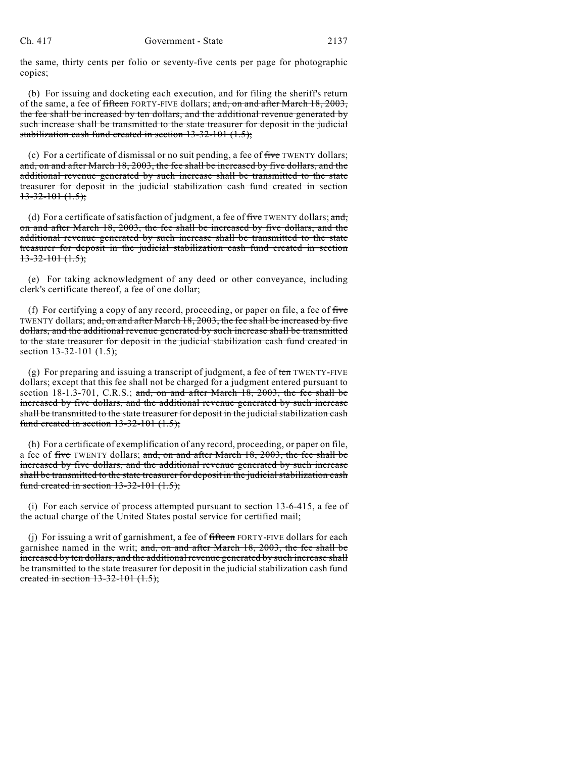the same, thirty cents per folio or seventy-five cents per page for photographic copies;

(b) For issuing and docketing each execution, and for filing the sheriff's return of the same, a fee of fifteen FORTY-FIVE dollars; and, on and after March 18, 2003, the fee shall be increased by ten dollars, and the additional revenue generated by such increase shall be transmitted to the state treasurer for deposit in the judicial stabilization cash fund created in section 13-32-101 (1.5);

(c) For a certificate of dismissal or no suit pending, a fee of five TWENTY dollars; and, on and after March 18, 2003, the fee shall be increased by five dollars, and the additional revenue generated by such increase shall be transmitted to the state treasurer for deposit in the judicial stabilization cash fund created in section  $13-32-101(1.5);$ 

(d) For a certificate of satisfaction of judgment, a fee of five TWENTY dollars; and, on and after March 18, 2003, the fee shall be increased by five dollars, and the additional revenue generated by such increase shall be transmitted to the state treasurer for deposit in the judicial stabilization cash fund created in section  $13-32-101(1.5)$ ;

(e) For taking acknowledgment of any deed or other conveyance, including clerk's certificate thereof, a fee of one dollar;

(f) For certifying a copy of any record, proceeding, or paper on file, a fee of five TWENTY dollars; and, on and after March 18, 2003, the fee shall be increased by five dollars, and the additional revenue generated by such increase shall be transmitted to the state treasurer for deposit in the judicial stabilization cash fund created in section 13-32-101 (1.5);

(g) For preparing and issuing a transcript of judgment, a fee of ten TWENTY-FIVE dollars; except that this fee shall not be charged for a judgment entered pursuant to section 18-1.3-701, C.R.S.; and, on and after March 18, 2003, the fee shall be increased by five dollars, and the additional revenue generated by such increase shall be transmitted to the state treasurer for deposit in the judicial stabilization cash fund created in section  $13-32-101$   $(1.5)$ ;

(h) For a certificate of exemplification of any record, proceeding, or paper on file, a fee of five TWENTY dollars; and, on and after March 18, 2003, the fee shall be increased by five dollars, and the additional revenue generated by such increase shall be transmitted to the state treasurer for deposit in the judicial stabilization cash fund created in section  $13-32-101$   $(1.5)$ ;

(i) For each service of process attempted pursuant to section 13-6-415, a fee of the actual charge of the United States postal service for certified mail;

(j) For issuing a writ of garnishment, a fee of fifteen FORTY-FIVE dollars for each garnishee named in the writ; and, on and after March 18, 2003, the fee shall be increased by ten dollars, and the additional revenue generated by such increase shall be transmitted to the state treasurer for deposit in the judicial stabilization cash fund created in section  $13-32-101$   $(1.5)$ ;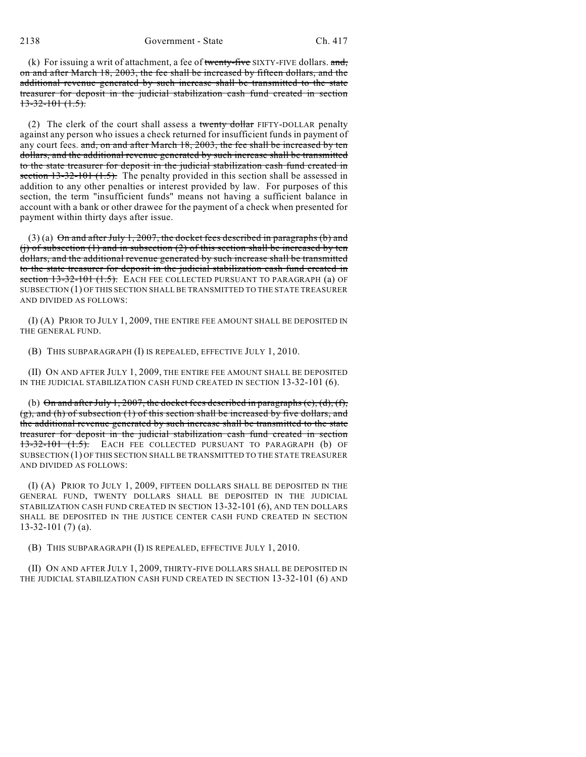(k) For issuing a writ of attachment, a fee of twenty-five SIXTY-FIVE dollars. and, on and after March 18, 2003, the fee shall be increased by fifteen dollars, and the additional revenue generated by such increase shall be transmitted to the state treasurer for deposit in the judicial stabilization cash fund created in section  $13-32-101(1.5)$ .

(2) The clerk of the court shall assess a twenty dollar FIFTY-DOLLAR penalty against any person who issues a check returned for insufficient funds in payment of any court fees. and, on and after March 18, 2003, the fee shall be increased by ten dollars, and the additional revenue generated by such increase shall be transmitted to the state treasurer for deposit in the judicial stabilization cash fund created in section 13-32-101 (1.5). The penalty provided in this section shall be assessed in addition to any other penalties or interest provided by law. For purposes of this section, the term "insufficient funds" means not having a sufficient balance in account with a bank or other drawee for the payment of a check when presented for payment within thirty days after issue.

(3) (a)  $\Theta$ n and after July 1, 2007, the docket fees described in paragraphs (b) and (i) of subsection  $(1)$  and in subsection  $(2)$  of this section shall be increased by ten dollars, and the additional revenue generated by such increase shall be transmitted to the state treasurer for deposit in the judicial stabilization cash fund created in section 13-32-101 (1.5). EACH FEE COLLECTED PURSUANT TO PARAGRAPH (a) OF SUBSECTION (1) OF THIS SECTION SHALL BE TRANSMITTED TO THE STATE TREASURER AND DIVIDED AS FOLLOWS:

(I) (A) PRIOR TO JULY 1, 2009, THE ENTIRE FEE AMOUNT SHALL BE DEPOSITED IN THE GENERAL FUND.

(B) THIS SUBPARAGRAPH (I) IS REPEALED, EFFECTIVE JULY 1, 2010.

(II) ON AND AFTER JULY 1, 2009, THE ENTIRE FEE AMOUNT SHALL BE DEPOSITED IN THE JUDICIAL STABILIZATION CASH FUND CREATED IN SECTION 13-32-101 (6).

(b) On and after July 1, 2007, the docket fees described in paragraphs (c), (d), (f),  $(g)$ , and (h) of subsection (1) of this section shall be increased by five dollars, and the additional revenue generated by such increase shall be transmitted to the state treasurer for deposit in the judicial stabilization cash fund created in section 13-32-101 (1.5). EACH FEE COLLECTED PURSUANT TO PARAGRAPH (b) OF SUBSECTION (1) OF THIS SECTION SHALL BE TRANSMITTED TO THE STATE TREASURER AND DIVIDED AS FOLLOWS:

(I) (A) PRIOR TO JULY 1, 2009, FIFTEEN DOLLARS SHALL BE DEPOSITED IN THE GENERAL FUND, TWENTY DOLLARS SHALL BE DEPOSITED IN THE JUDICIAL STABILIZATION CASH FUND CREATED IN SECTION 13-32-101 (6), AND TEN DOLLARS SHALL BE DEPOSITED IN THE JUSTICE CENTER CASH FUND CREATED IN SECTION 13-32-101 (7) (a).

(B) THIS SUBPARAGRAPH (I) IS REPEALED, EFFECTIVE JULY 1, 2010.

(II) ON AND AFTER JULY 1, 2009, THIRTY-FIVE DOLLARS SHALL BE DEPOSITED IN THE JUDICIAL STABILIZATION CASH FUND CREATED IN SECTION 13-32-101 (6) AND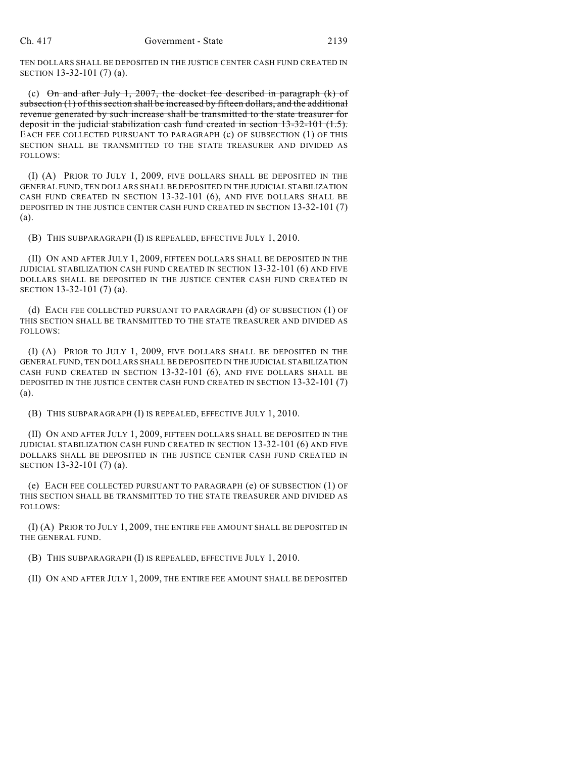TEN DOLLARS SHALL BE DEPOSITED IN THE JUSTICE CENTER CASH FUND CREATED IN SECTION 13-32-101 (7) (a).

(c)  $\Theta$ n and after July 1, 2007, the docket fee described in paragraph (k) of subsection (1) of this section shall be increased by fifteen dollars, and the additional revenue generated by such increase shall be transmitted to the state treasurer for deposit in the judicial stabilization cash fund created in section 13-32-101 (1.5). EACH FEE COLLECTED PURSUANT TO PARAGRAPH (c) OF SUBSECTION (1) OF THIS SECTION SHALL BE TRANSMITTED TO THE STATE TREASURER AND DIVIDED AS FOLLOWS:

(I) (A) PRIOR TO JULY 1, 2009, FIVE DOLLARS SHALL BE DEPOSITED IN THE GENERAL FUND, TEN DOLLARS SHALL BE DEPOSITED IN THE JUDICIAL STABILIZATION CASH FUND CREATED IN SECTION 13-32-101 (6), AND FIVE DOLLARS SHALL BE DEPOSITED IN THE JUSTICE CENTER CASH FUND CREATED IN SECTION 13-32-101 (7) (a).

(B) THIS SUBPARAGRAPH (I) IS REPEALED, EFFECTIVE JULY 1, 2010.

(II) ON AND AFTER JULY 1, 2009, FIFTEEN DOLLARS SHALL BE DEPOSITED IN THE JUDICIAL STABILIZATION CASH FUND CREATED IN SECTION 13-32-101 (6) AND FIVE DOLLARS SHALL BE DEPOSITED IN THE JUSTICE CENTER CASH FUND CREATED IN SECTION 13-32-101 (7) (a).

(d) EACH FEE COLLECTED PURSUANT TO PARAGRAPH (d) OF SUBSECTION (1) OF THIS SECTION SHALL BE TRANSMITTED TO THE STATE TREASURER AND DIVIDED AS FOLLOWS:

(I) (A) PRIOR TO JULY 1, 2009, FIVE DOLLARS SHALL BE DEPOSITED IN THE GENERAL FUND, TEN DOLLARS SHALL BE DEPOSITED IN THE JUDICIAL STABILIZATION CASH FUND CREATED IN SECTION 13-32-101 (6), AND FIVE DOLLARS SHALL BE DEPOSITED IN THE JUSTICE CENTER CASH FUND CREATED IN SECTION 13-32-101 (7) (a).

(B) THIS SUBPARAGRAPH (I) IS REPEALED, EFFECTIVE JULY 1, 2010.

(II) ON AND AFTER JULY 1, 2009, FIFTEEN DOLLARS SHALL BE DEPOSITED IN THE JUDICIAL STABILIZATION CASH FUND CREATED IN SECTION 13-32-101 (6) AND FIVE DOLLARS SHALL BE DEPOSITED IN THE JUSTICE CENTER CASH FUND CREATED IN SECTION 13-32-101 (7) (a).

(e) EACH FEE COLLECTED PURSUANT TO PARAGRAPH (e) OF SUBSECTION (1) OF THIS SECTION SHALL BE TRANSMITTED TO THE STATE TREASURER AND DIVIDED AS FOLLOWS:

(I) (A) PRIOR TO JULY 1, 2009, THE ENTIRE FEE AMOUNT SHALL BE DEPOSITED IN THE GENERAL FUND.

(B) THIS SUBPARAGRAPH (I) IS REPEALED, EFFECTIVE JULY 1, 2010.

(II) ON AND AFTER JULY 1, 2009, THE ENTIRE FEE AMOUNT SHALL BE DEPOSITED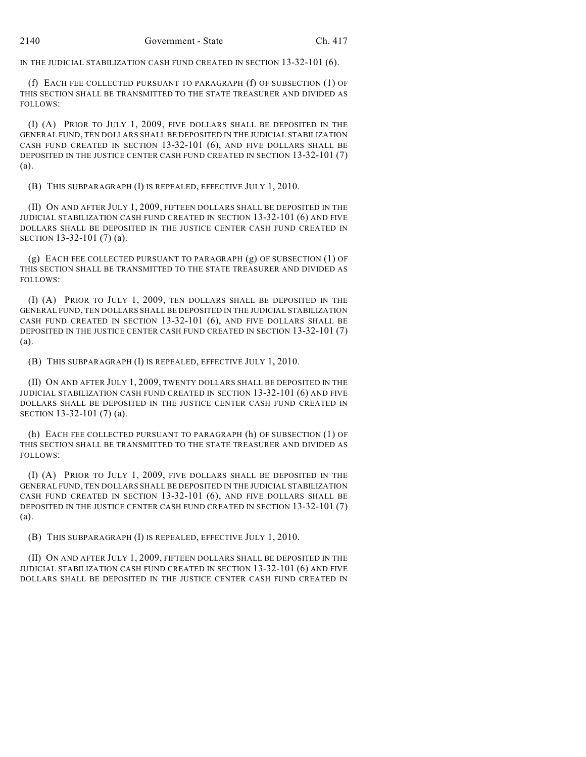IN THE JUDICIAL STABILIZATION CASH FUND CREATED IN SECTION 13-32-101 (6).

(f) EACH FEE COLLECTED PURSUANT TO PARAGRAPH (f) OF SUBSECTION (1) OF THIS SECTION SHALL BE TRANSMITTED TO THE STATE TREASURER AND DIVIDED AS FOLLOWS:

(I) (A) PRIOR TO JULY 1, 2009, FIVE DOLLARS SHALL BE DEPOSITED IN THE GENERAL FUND, TEN DOLLARS SHALL BE DEPOSITED IN THE JUDICIAL STABILIZATION CASH FUND CREATED IN SECTION 13-32-101 (6), AND FIVE DOLLARS SHALL BE DEPOSITED IN THE JUSTICE CENTER CASH FUND CREATED IN SECTION 13-32-101 (7) (a).

(B) THIS SUBPARAGRAPH (I) IS REPEALED, EFFECTIVE JULY 1, 2010.

(II) ON AND AFTER JULY 1, 2009, FIFTEEN DOLLARS SHALL BE DEPOSITED IN THE JUDICIAL STABILIZATION CASH FUND CREATED IN SECTION 13-32-101 (6) AND FIVE DOLLARS SHALL BE DEPOSITED IN THE JUSTICE CENTER CASH FUND CREATED IN SECTION 13-32-101 (7) (a).

(g) EACH FEE COLLECTED PURSUANT TO PARAGRAPH (g) OF SUBSECTION (1) OF THIS SECTION SHALL BE TRANSMITTED TO THE STATE TREASURER AND DIVIDED AS FOLLOWS:

(I) (A) PRIOR TO JULY 1, 2009, TEN DOLLARS SHALL BE DEPOSITED IN THE GENERAL FUND, TEN DOLLARS SHALL BE DEPOSITED IN THE JUDICIAL STABILIZATION CASH FUND CREATED IN SECTION 13-32-101 (6), AND FIVE DOLLARS SHALL BE DEPOSITED IN THE JUSTICE CENTER CASH FUND CREATED IN SECTION 13-32-101 (7) (a).

(B) THIS SUBPARAGRAPH (I) IS REPEALED, EFFECTIVE JULY 1, 2010.

(II) ON AND AFTER JULY 1, 2009, TWENTY DOLLARS SHALL BE DEPOSITED IN THE JUDICIAL STABILIZATION CASH FUND CREATED IN SECTION 13-32-101 (6) AND FIVE DOLLARS SHALL BE DEPOSITED IN THE JUSTICE CENTER CASH FUND CREATED IN SECTION 13-32-101 (7) (a).

(h) EACH FEE COLLECTED PURSUANT TO PARAGRAPH (h) OF SUBSECTION (1) OF THIS SECTION SHALL BE TRANSMITTED TO THE STATE TREASURER AND DIVIDED AS FOLLOWS:

(I) (A) PRIOR TO JULY 1, 2009, FIVE DOLLARS SHALL BE DEPOSITED IN THE GENERAL FUND, TEN DOLLARS SHALL BE DEPOSITED IN THE JUDICIAL STABILIZATION CASH FUND CREATED IN SECTION 13-32-101 (6), AND FIVE DOLLARS SHALL BE DEPOSITED IN THE JUSTICE CENTER CASH FUND CREATED IN SECTION 13-32-101 (7) (a).

(B) THIS SUBPARAGRAPH (I) IS REPEALED, EFFECTIVE JULY 1, 2010.

(II) ON AND AFTER JULY 1, 2009, FIFTEEN DOLLARS SHALL BE DEPOSITED IN THE JUDICIAL STABILIZATION CASH FUND CREATED IN SECTION 13-32-101 (6) AND FIVE DOLLARS SHALL BE DEPOSITED IN THE JUSTICE CENTER CASH FUND CREATED IN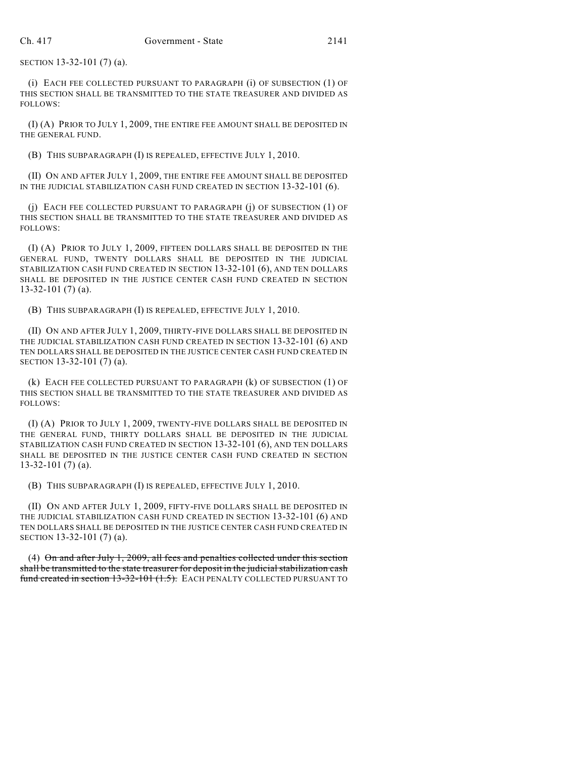SECTION 13-32-101 (7) (a).

(i) EACH FEE COLLECTED PURSUANT TO PARAGRAPH (i) OF SUBSECTION (1) OF THIS SECTION SHALL BE TRANSMITTED TO THE STATE TREASURER AND DIVIDED AS FOLLOWS:

(I) (A) PRIOR TO JULY 1, 2009, THE ENTIRE FEE AMOUNT SHALL BE DEPOSITED IN THE GENERAL FUND.

(B) THIS SUBPARAGRAPH (I) IS REPEALED, EFFECTIVE JULY 1, 2010.

(II) ON AND AFTER JULY 1, 2009, THE ENTIRE FEE AMOUNT SHALL BE DEPOSITED IN THE JUDICIAL STABILIZATION CASH FUND CREATED IN SECTION 13-32-101 (6).

(j) EACH FEE COLLECTED PURSUANT TO PARAGRAPH (j) OF SUBSECTION (1) OF THIS SECTION SHALL BE TRANSMITTED TO THE STATE TREASURER AND DIVIDED AS FOLLOWS:

(I) (A) PRIOR TO JULY 1, 2009, FIFTEEN DOLLARS SHALL BE DEPOSITED IN THE GENERAL FUND, TWENTY DOLLARS SHALL BE DEPOSITED IN THE JUDICIAL STABILIZATION CASH FUND CREATED IN SECTION 13-32-101 (6), AND TEN DOLLARS SHALL BE DEPOSITED IN THE JUSTICE CENTER CASH FUND CREATED IN SECTION 13-32-101 (7) (a).

(B) THIS SUBPARAGRAPH (I) IS REPEALED, EFFECTIVE JULY 1, 2010.

(II) ON AND AFTER JULY 1, 2009, THIRTY-FIVE DOLLARS SHALL BE DEPOSITED IN THE JUDICIAL STABILIZATION CASH FUND CREATED IN SECTION 13-32-101 (6) AND TEN DOLLARS SHALL BE DEPOSITED IN THE JUSTICE CENTER CASH FUND CREATED IN SECTION 13-32-101 (7) (a).

(k) EACH FEE COLLECTED PURSUANT TO PARAGRAPH (k) OF SUBSECTION (1) OF THIS SECTION SHALL BE TRANSMITTED TO THE STATE TREASURER AND DIVIDED AS FOLLOWS:

(I) (A) PRIOR TO JULY 1, 2009, TWENTY-FIVE DOLLARS SHALL BE DEPOSITED IN THE GENERAL FUND, THIRTY DOLLARS SHALL BE DEPOSITED IN THE JUDICIAL STABILIZATION CASH FUND CREATED IN SECTION 13-32-101 (6), AND TEN DOLLARS SHALL BE DEPOSITED IN THE JUSTICE CENTER CASH FUND CREATED IN SECTION 13-32-101 (7) (a).

(B) THIS SUBPARAGRAPH (I) IS REPEALED, EFFECTIVE JULY 1, 2010.

(II) ON AND AFTER JULY 1, 2009, FIFTY-FIVE DOLLARS SHALL BE DEPOSITED IN THE JUDICIAL STABILIZATION CASH FUND CREATED IN SECTION 13-32-101 (6) AND TEN DOLLARS SHALL BE DEPOSITED IN THE JUSTICE CENTER CASH FUND CREATED IN SECTION 13-32-101 (7) (a).

(4) On and after July 1, 2009, all fees and penalties collected under this section shall be transmitted to the state treasurer for deposit in the judicial stabilization cash fund created in section 13-32-101 (1.5). EACH PENALTY COLLECTED PURSUANT TO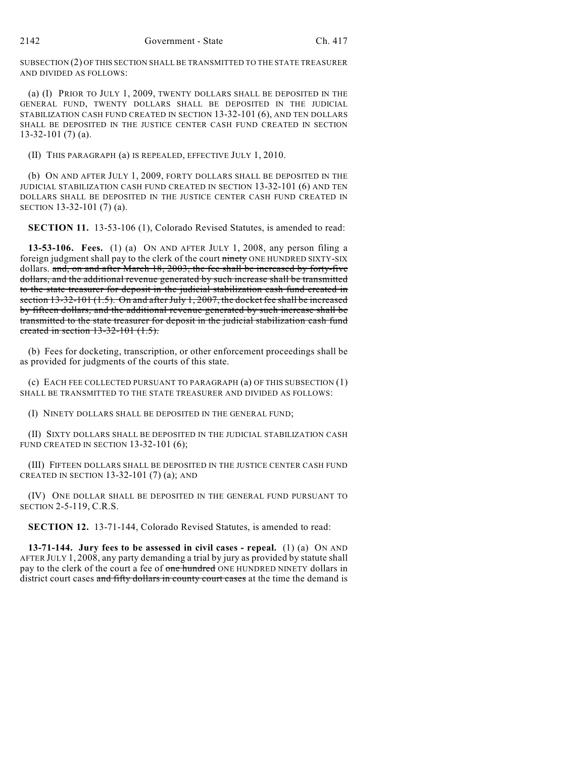SUBSECTION (2) OF THIS SECTION SHALL BE TRANSMITTED TO THE STATE TREASURER AND DIVIDED AS FOLLOWS:

(a) (I) PRIOR TO JULY 1, 2009, TWENTY DOLLARS SHALL BE DEPOSITED IN THE GENERAL FUND, TWENTY DOLLARS SHALL BE DEPOSITED IN THE JUDICIAL STABILIZATION CASH FUND CREATED IN SECTION 13-32-101 (6), AND TEN DOLLARS SHALL BE DEPOSITED IN THE JUSTICE CENTER CASH FUND CREATED IN SECTION 13-32-101 (7) (a).

(II) THIS PARAGRAPH (a) IS REPEALED, EFFECTIVE JULY 1, 2010.

(b) ON AND AFTER JULY 1, 2009, FORTY DOLLARS SHALL BE DEPOSITED IN THE JUDICIAL STABILIZATION CASH FUND CREATED IN SECTION 13-32-101 (6) AND TEN DOLLARS SHALL BE DEPOSITED IN THE JUSTICE CENTER CASH FUND CREATED IN SECTION 13-32-101 (7) (a).

**SECTION 11.** 13-53-106 (1), Colorado Revised Statutes, is amended to read:

**13-53-106. Fees.** (1) (a) ON AND AFTER JULY 1, 2008, any person filing a foreign judgment shall pay to the clerk of the court ninety ONE HUNDRED SIXTY-SIX dollars. and, on and after March 18, 2003, the fee shall be increased by forty-five dollars, and the additional revenue generated by such increase shall be transmitted to the state treasurer for deposit in the judicial stabilization cash fund created in section 13-32-101 (1.5). On and after July 1, 2007, the docket fee shall be increased by fifteen dollars, and the additional revenue generated by such increase shall be transmitted to the state treasurer for deposit in the judicial stabilization cash fund created in section 13-32-101 (1.5).

(b) Fees for docketing, transcription, or other enforcement proceedings shall be as provided for judgments of the courts of this state.

(c) EACH FEE COLLECTED PURSUANT TO PARAGRAPH (a) OF THIS SUBSECTION (1) SHALL BE TRANSMITTED TO THE STATE TREASURER AND DIVIDED AS FOLLOWS:

(I) NINETY DOLLARS SHALL BE DEPOSITED IN THE GENERAL FUND;

(II) SIXTY DOLLARS SHALL BE DEPOSITED IN THE JUDICIAL STABILIZATION CASH FUND CREATED IN SECTION 13-32-101 (6);

(III) FIFTEEN DOLLARS SHALL BE DEPOSITED IN THE JUSTICE CENTER CASH FUND CREATED IN SECTION 13-32-101 $(7)$  $(a)$ ; AND

(IV) ONE DOLLAR SHALL BE DEPOSITED IN THE GENERAL FUND PURSUANT TO SECTION 2-5-119, C.R.S.

**SECTION 12.** 13-71-144, Colorado Revised Statutes, is amended to read:

**13-71-144. Jury fees to be assessed in civil cases - repeal.** (1) (a) ON AND AFTER JULY 1, 2008, any party demanding a trial by jury as provided by statute shall pay to the clerk of the court a fee of one hundred ONE HUNDRED NINETY dollars in district court cases and fifty dollars in county court cases at the time the demand is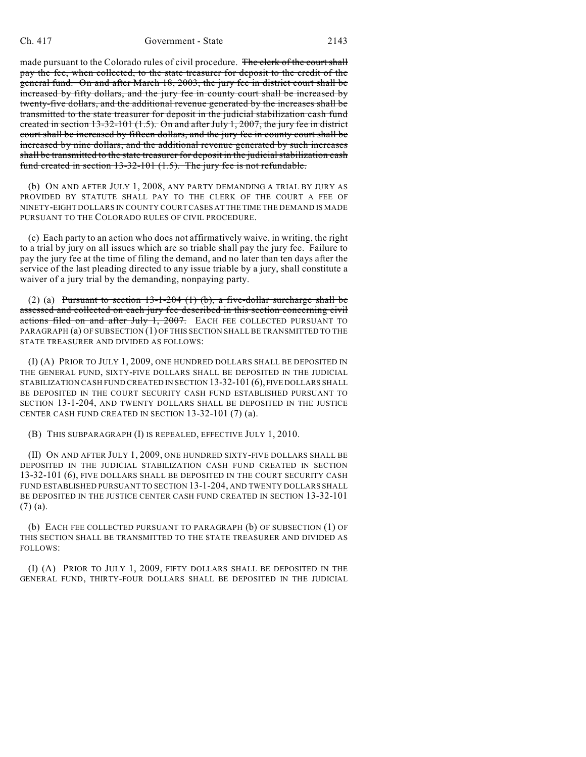made pursuant to the Colorado rules of civil procedure. The clerk of the court shall pay the fee, when collected, to the state treasurer for deposit to the credit of the general fund. On and after March 18, 2003, the jury fee in district court shall be increased by fifty dollars, and the jury fee in county court shall be increased by twenty-five dollars, and the additional revenue generated by the increases shall be transmitted to the state treasurer for deposit in the judicial stabilization cash fund created in section 13-32-101 (1.5). On and after July 1, 2007, the jury fee in district court shall be increased by fifteen dollars, and the jury fee in county court shall be increased by nine dollars, and the additional revenue generated by such increases shall be transmitted to the state treasurer for deposit in the judicial stabilization cash fund created in section 13-32-101 (1.5). The jury fee is not refundable.

(b) ON AND AFTER JULY 1, 2008, ANY PARTY DEMANDING A TRIAL BY JURY AS PROVIDED BY STATUTE SHALL PAY TO THE CLERK OF THE COURT A FEE OF NINETY-EIGHT DOLLARS IN COUNTY COURT CASES AT THE TIME THE DEMAND IS MADE PURSUANT TO THE COLORADO RULES OF CIVIL PROCEDURE.

(c) Each party to an action who does not affirmatively waive, in writing, the right to a trial by jury on all issues which are so triable shall pay the jury fee. Failure to pay the jury fee at the time of filing the demand, and no later than ten days after the service of the last pleading directed to any issue triable by a jury, shall constitute a waiver of a jury trial by the demanding, nonpaying party.

(2) (a) Pursuant to section  $13-1-204$  (1) (b), a five-dollar surcharge shall be assessed and collected on each jury fee described in this section concerning civil actions filed on and after July 1, 2007. EACH FEE COLLECTED PURSUANT TO PARAGRAPH (a) OF SUBSECTION (1) OF THIS SECTION SHALL BE TRANSMITTED TO THE STATE TREASURER AND DIVIDED AS FOLLOWS:

(I) (A) PRIOR TO JULY 1, 2009, ONE HUNDRED DOLLARS SHALL BE DEPOSITED IN THE GENERAL FUND, SIXTY-FIVE DOLLARS SHALL BE DEPOSITED IN THE JUDICIAL STABILIZATION CASH FUND CREATED IN SECTION 13-32-101 (6), FIVE DOLLARS SHALL BE DEPOSITED IN THE COURT SECURITY CASH FUND ESTABLISHED PURSUANT TO SECTION 13-1-204, AND TWENTY DOLLARS SHALL BE DEPOSITED IN THE JUSTICE CENTER CASH FUND CREATED IN SECTION 13-32-101 (7) (a).

(B) THIS SUBPARAGRAPH (I) IS REPEALED, EFFECTIVE JULY 1, 2010.

(II) ON AND AFTER JULY 1, 2009, ONE HUNDRED SIXTY-FIVE DOLLARS SHALL BE DEPOSITED IN THE JUDICIAL STABILIZATION CASH FUND CREATED IN SECTION 13-32-101 (6), FIVE DOLLARS SHALL BE DEPOSITED IN THE COURT SECURITY CASH FUND ESTABLISHED PURSUANT TO SECTION 13-1-204, AND TWENTY DOLLARS SHALL BE DEPOSITED IN THE JUSTICE CENTER CASH FUND CREATED IN SECTION 13-32-101 (7) (a).

(b) EACH FEE COLLECTED PURSUANT TO PARAGRAPH (b) OF SUBSECTION (1) OF THIS SECTION SHALL BE TRANSMITTED TO THE STATE TREASURER AND DIVIDED AS FOLLOWS:

(I) (A) PRIOR TO JULY 1, 2009, FIFTY DOLLARS SHALL BE DEPOSITED IN THE GENERAL FUND, THIRTY-FOUR DOLLARS SHALL BE DEPOSITED IN THE JUDICIAL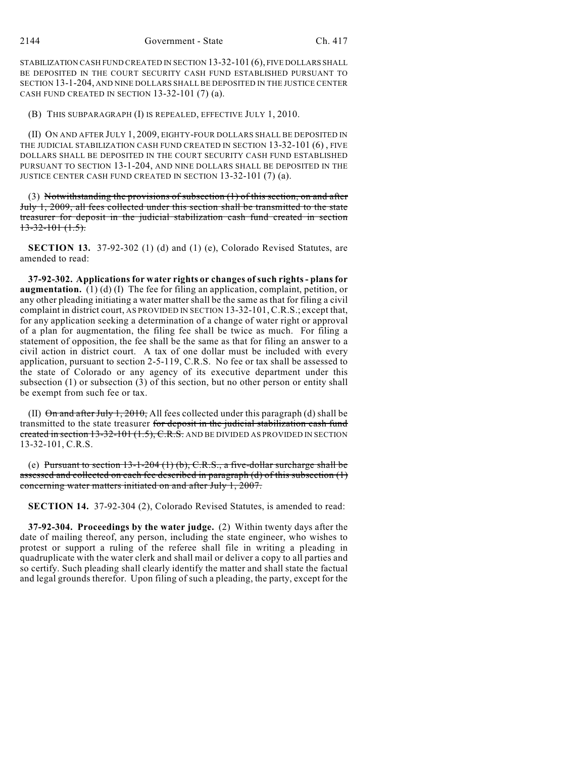STABILIZATION CASH FUND CREATED IN SECTION 13-32-101 (6), FIVE DOLLARS SHALL BE DEPOSITED IN THE COURT SECURITY CASH FUND ESTABLISHED PURSUANT TO SECTION 13-1-204, AND NINE DOLLARS SHALL BE DEPOSITED IN THE JUSTICE CENTER CASH FUND CREATED IN SECTION 13-32-101 (7) (a).

(B) THIS SUBPARAGRAPH (I) IS REPEALED, EFFECTIVE JULY 1, 2010.

(II) ON AND AFTER JULY 1, 2009, EIGHTY-FOUR DOLLARS SHALL BE DEPOSITED IN THE JUDICIAL STABILIZATION CASH FUND CREATED IN SECTION 13-32-101 (6) , FIVE DOLLARS SHALL BE DEPOSITED IN THE COURT SECURITY CASH FUND ESTABLISHED PURSUANT TO SECTION 13-1-204, AND NINE DOLLARS SHALL BE DEPOSITED IN THE JUSTICE CENTER CASH FUND CREATED IN SECTION 13-32-101 (7) (a).

(3) Notwithstanding the provisions of subsection  $(1)$  of this section, on and after July 1, 2009, all fees collected under this section shall be transmitted to the state treasurer for deposit in the judicial stabilization cash fund created in section  $13-32-101(1.5)$ .

**SECTION 13.** 37-92-302 (1) (d) and (1) (e), Colorado Revised Statutes, are amended to read:

**37-92-302. Applications for water rights or changes of such rights - plans for augmentation.** (1) (d) (I) The fee for filing an application, complaint, petition, or any other pleading initiating a water matter shall be the same as that for filing a civil complaint in district court, AS PROVIDED IN SECTION 13-32-101, C.R.S.; except that, for any application seeking a determination of a change of water right or approval of a plan for augmentation, the filing fee shall be twice as much. For filing a statement of opposition, the fee shall be the same as that for filing an answer to a civil action in district court. A tax of one dollar must be included with every application, pursuant to section 2-5-119, C.R.S. No fee or tax shall be assessed to the state of Colorado or any agency of its executive department under this subsection (1) or subsection (3) of this section, but no other person or entity shall be exempt from such fee or tax.

(II)  $\Theta$ n and after July 1, 2010, All fees collected under this paragraph (d) shall be transmitted to the state treasurer for deposit in the judicial stabilization cash fund created in section  $13-32-101$   $(1.5)$ , C.R.S. AND BE DIVIDED AS PROVIDED IN SECTION 13-32-101, C.R.S.

(e) Pursuant to section  $13-1-204$  (1) (b), C.R.S., a five-dollar surcharge shall be assessed and collected on each fee described in paragraph (d) of this subsection (1) concerning water matters initiated on and after July 1, 2007.

**SECTION 14.** 37-92-304 (2), Colorado Revised Statutes, is amended to read:

**37-92-304. Proceedings by the water judge.** (2) Within twenty days after the date of mailing thereof, any person, including the state engineer, who wishes to protest or support a ruling of the referee shall file in writing a pleading in quadruplicate with the water clerk and shall mail or deliver a copy to all parties and so certify. Such pleading shall clearly identify the matter and shall state the factual and legal grounds therefor. Upon filing of such a pleading, the party, except for the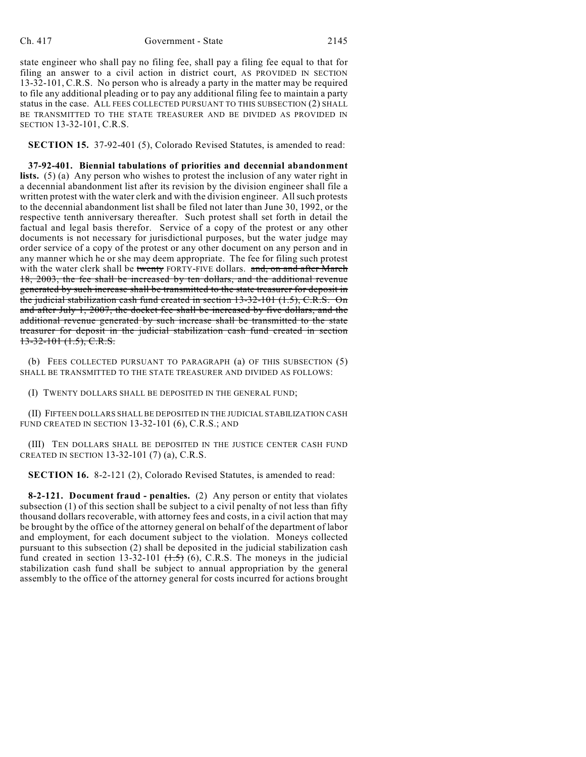state engineer who shall pay no filing fee, shall pay a filing fee equal to that for filing an answer to a civil action in district court, AS PROVIDED IN SECTION 13-32-101, C.R.S. No person who is already a party in the matter may be required to file any additional pleading or to pay any additional filing fee to maintain a party status in the case. ALL FEES COLLECTED PURSUANT TO THIS SUBSECTION (2) SHALL BE TRANSMITTED TO THE STATE TREASURER AND BE DIVIDED AS PROVIDED IN SECTION 13-32-101, C.R.S.

**SECTION 15.** 37-92-401 (5), Colorado Revised Statutes, is amended to read:

**37-92-401. Biennial tabulations of priorities and decennial abandonment lists.** (5) (a) Any person who wishes to protest the inclusion of any water right in a decennial abandonment list after its revision by the division engineer shall file a written protest with the water clerk and with the division engineer. All such protests to the decennial abandonment list shall be filed not later than June 30, 1992, or the respective tenth anniversary thereafter. Such protest shall set forth in detail the factual and legal basis therefor. Service of a copy of the protest or any other documents is not necessary for jurisdictional purposes, but the water judge may order service of a copy of the protest or any other document on any person and in any manner which he or she may deem appropriate. The fee for filing such protest with the water clerk shall be twenty FORTY-FIVE dollars. and, on and after March 18, 2003, the fee shall be increased by ten dollars, and the additional revenue generated by such increase shall be transmitted to the state treasurer for deposit in the judicial stabilization cash fund created in section 13-32-101 (1.5), C.R.S. On and after July 1, 2007, the docket fee shall be increased by five dollars, and the additional revenue generated by such increase shall be transmitted to the state treasurer for deposit in the judicial stabilization cash fund created in section 13-32-101 (1.5), C.R.S.

(b) FEES COLLECTED PURSUANT TO PARAGRAPH (a) OF THIS SUBSECTION (5) SHALL BE TRANSMITTED TO THE STATE TREASURER AND DIVIDED AS FOLLOWS:

(I) TWENTY DOLLARS SHALL BE DEPOSITED IN THE GENERAL FUND;

(II) FIFTEEN DOLLARS SHALL BE DEPOSITED IN THE JUDICIAL STABILIZATION CASH FUND CREATED IN SECTION 13-32-101 (6), C.R.S.; AND

(III) TEN DOLLARS SHALL BE DEPOSITED IN THE JUSTICE CENTER CASH FUND CREATED IN SECTION 13-32-101 (7) (a), C.R.S.

**SECTION 16.** 8-2-121 (2), Colorado Revised Statutes, is amended to read:

**8-2-121. Document fraud - penalties.** (2) Any person or entity that violates subsection (1) of this section shall be subject to a civil penalty of not less than fifty thousand dollars recoverable, with attorney fees and costs, in a civil action that may be brought by the office of the attorney general on behalf of the department of labor and employment, for each document subject to the violation. Moneys collected pursuant to this subsection (2) shall be deposited in the judicial stabilization cash fund created in section 13-32-101  $(1.5)$  (6), C.R.S. The moneys in the judicial stabilization cash fund shall be subject to annual appropriation by the general assembly to the office of the attorney general for costs incurred for actions brought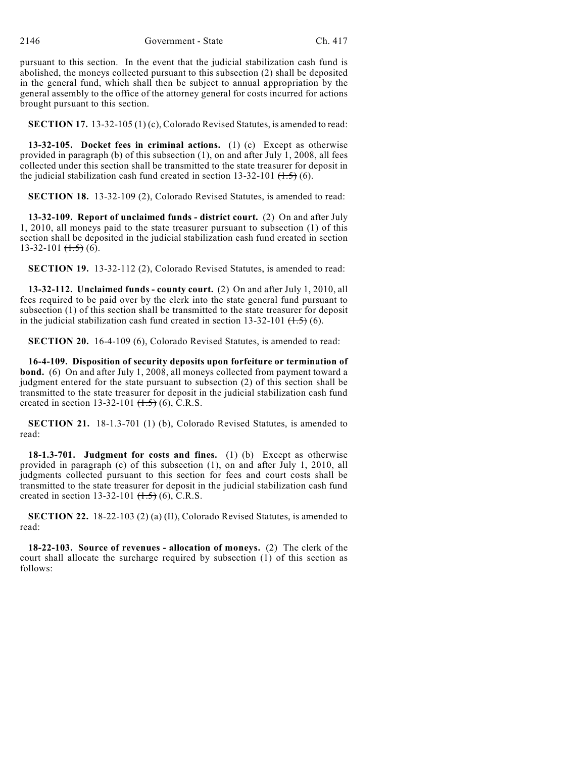pursuant to this section. In the event that the judicial stabilization cash fund is abolished, the moneys collected pursuant to this subsection (2) shall be deposited in the general fund, which shall then be subject to annual appropriation by the general assembly to the office of the attorney general for costs incurred for actions brought pursuant to this section.

**SECTION 17.** 13-32-105 (1) (c), Colorado Revised Statutes, is amended to read:

**13-32-105. Docket fees in criminal actions.** (1) (c) Except as otherwise provided in paragraph (b) of this subsection (1), on and after July 1, 2008, all fees collected under this section shall be transmitted to the state treasurer for deposit in the judicial stabilization cash fund created in section  $13-32-101$   $(1.5)$  (6).

**SECTION 18.** 13-32-109 (2), Colorado Revised Statutes, is amended to read:

**13-32-109. Report of unclaimed funds - district court.** (2) On and after July 1, 2010, all moneys paid to the state treasurer pursuant to subsection (1) of this section shall be deposited in the judicial stabilization cash fund created in section  $13-32-101$   $(\frac{1.5}{1.5})$  (6).

**SECTION 19.** 13-32-112 (2), Colorado Revised Statutes, is amended to read:

**13-32-112. Unclaimed funds - county court.** (2) On and after July 1, 2010, all fees required to be paid over by the clerk into the state general fund pursuant to subsection (1) of this section shall be transmitted to the state treasurer for deposit in the judicial stabilization cash fund created in section  $13-32-101$   $(1.5)$  (6).

**SECTION 20.** 16-4-109 (6), Colorado Revised Statutes, is amended to read:

**16-4-109. Disposition of security deposits upon forfeiture or termination of bond.** (6) On and after July 1, 2008, all moneys collected from payment toward a judgment entered for the state pursuant to subsection (2) of this section shall be transmitted to the state treasurer for deposit in the judicial stabilization cash fund created in section 13-32-101  $(1.5)$  (6), C.R.S.

**SECTION 21.** 18-1.3-701 (1) (b), Colorado Revised Statutes, is amended to read:

**18-1.3-701. Judgment for costs and fines.** (1) (b) Except as otherwise provided in paragraph (c) of this subsection (1), on and after July 1, 2010, all judgments collected pursuant to this section for fees and court costs shall be transmitted to the state treasurer for deposit in the judicial stabilization cash fund created in section 13-32-101  $(1.5)$  (6), C.R.S.

**SECTION 22.** 18-22-103 (2) (a) (II), Colorado Revised Statutes, is amended to read:

**18-22-103. Source of revenues - allocation of moneys.** (2) The clerk of the court shall allocate the surcharge required by subsection (1) of this section as follows: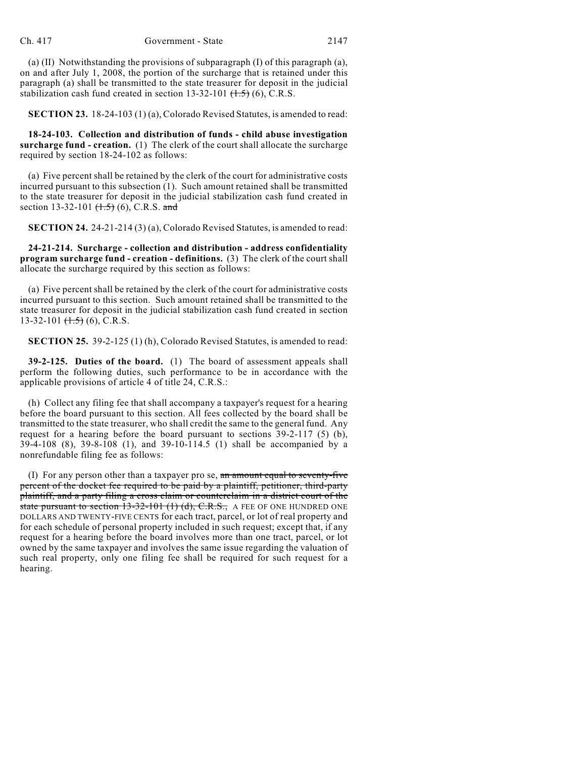(a) (II) Notwithstanding the provisions of subparagraph (I) of this paragraph (a), on and after July 1, 2008, the portion of the surcharge that is retained under this paragraph (a) shall be transmitted to the state treasurer for deposit in the judicial stabilization cash fund created in section  $13-32-101$   $(1.5)$   $(6)$ , C.R.S.

**SECTION 23.** 18-24-103 (1) (a), Colorado Revised Statutes, is amended to read:

**18-24-103. Collection and distribution of funds - child abuse investigation surcharge fund - creation.** (1) The clerk of the court shall allocate the surcharge required by section 18-24-102 as follows:

(a) Five percent shall be retained by the clerk of the court for administrative costs incurred pursuant to this subsection (1). Such amount retained shall be transmitted to the state treasurer for deposit in the judicial stabilization cash fund created in section 13-32-101  $(1.5)$  (6), C.R.S. and

**SECTION 24.** 24-21-214 (3) (a), Colorado Revised Statutes, is amended to read:

**24-21-214. Surcharge - collection and distribution - address confidentiality program surcharge fund - creation - definitions.** (3) The clerk of the court shall allocate the surcharge required by this section as follows:

(a) Five percent shall be retained by the clerk of the court for administrative costs incurred pursuant to this section. Such amount retained shall be transmitted to the state treasurer for deposit in the judicial stabilization cash fund created in section  $13-32-101$   $(1.5)$  (6), C.R.S.

**SECTION 25.** 39-2-125 (1) (h), Colorado Revised Statutes, is amended to read:

**39-2-125. Duties of the board.** (1) The board of assessment appeals shall perform the following duties, such performance to be in accordance with the applicable provisions of article 4 of title 24, C.R.S.:

(h) Collect any filing fee that shall accompany a taxpayer's request for a hearing before the board pursuant to this section. All fees collected by the board shall be transmitted to the state treasurer, who shall credit the same to the general fund. Any request for a hearing before the board pursuant to sections  $39-2-117$  (5) (b), 39-4-108 (8), 39-8-108 (1), and 39-10-114.5 (1) shall be accompanied by a nonrefundable filing fee as follows:

(I) For any person other than a taxpayer pro se, an amount equal to seventy-five percent of the docket fee required to be paid by a plaintiff, petitioner, third-party plaintiff, and a party filing a cross claim or counterclaim in a district court of the state pursuant to section  $13-32-101$  (1) (d), C.R.S., A FEE OF ONE HUNDRED ONE DOLLARS AND TWENTY-FIVE CENTS for each tract, parcel, or lot of real property and for each schedule of personal property included in such request; except that, if any request for a hearing before the board involves more than one tract, parcel, or lot owned by the same taxpayer and involves the same issue regarding the valuation of such real property, only one filing fee shall be required for such request for a hearing.